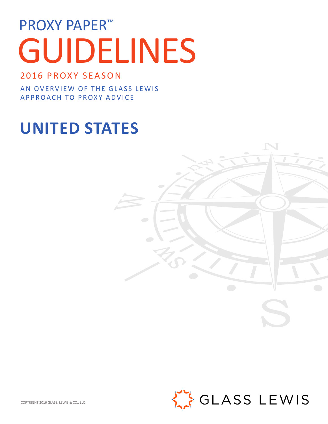# PROXY PAPER<sup>™</sup> GUIDELINES

# 2016 PROXY SEASON

AN OVERVIEW OF THE GLASS LEWIS APPROACH TO PROXY ADVICE

# **UNITED STATES**

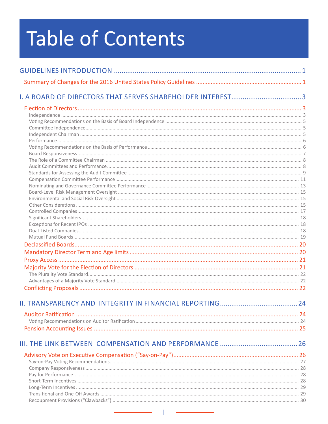# **Table of Contents**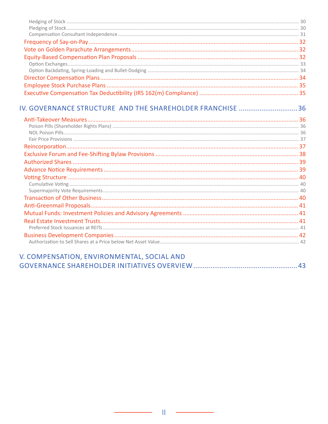| IV. GOVERNANCE STRUCTURE AND THE SHAREHOLDER FRANCHISE 36 |  |
|-----------------------------------------------------------|--|
|                                                           |  |
|                                                           |  |
|                                                           |  |
|                                                           |  |
|                                                           |  |
|                                                           |  |
|                                                           |  |
|                                                           |  |
|                                                           |  |
|                                                           |  |
|                                                           |  |
|                                                           |  |
|                                                           |  |
|                                                           |  |
|                                                           |  |
|                                                           |  |
|                                                           |  |
|                                                           |  |
|                                                           |  |

| V. COMPENSATION, ENVIRONMENTAL, SOCIAL AND |  |
|--------------------------------------------|--|
|                                            |  |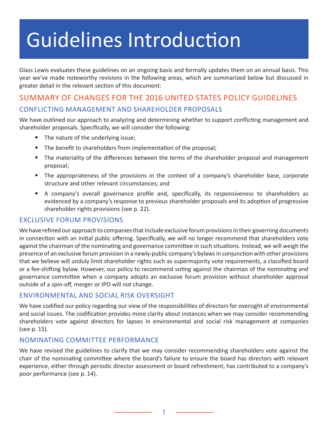# Guidelines Introduction

Glass Lewis evaluates these guidelines on an ongoing basis and formally updates them on an annual basis. This year we've made noteworthy revisions in the following areas, which are summarized below but discussed in greater detail in the relevant section of this document:

# SUMMARY OF CHANGES FOR THE 2016 UNITED STATES POLICY GUIDELINES CONFLICTING MANAGEMENT AND SHAREHOLDER PROPOSALS

We have outlined our approach to analyzing and determining whether to support conflicting management and shareholder proposals. Specifically, we will consider the following:

- The nature of the underlying issue;
- The benefit to shareholders from implementation of the proposal;
- The materiality of the differences between the terms of the shareholder proposal and management proposal;
- The appropriateness of the provisions in the context of a company's shareholder base, corporate structure and other relevant circumstances; and
- A company's overall governance profile and, specifically, its responsiveness to shareholders as evidenced by a company's response to previous shareholder proposals and its adoption of progressive shareholder rights provisions (see p. 22).

#### EXCLUSIVE FORUM PROVISIONS

We have refined our approach to companies that include exclusive forum provisions in their governing documents in connection with an initial public offering. Specifically, we will no longer recommend that shareholders vote against the chairman of the nominating and governance committee in such situations. Instead, we will weigh the presence of an exclusive forum provision in a newly-public company's bylaws in conjunction with other provisions that we believe will unduly limit shareholder rights such as supermajority vote requirements, a classified board or a fee-shifting bylaw. However, our policy to recommend voting against the chairman of the nominating and governance committee when a company adopts an exclusive forum provision without shareholder approval outside of a spin-off, merger or IPO will not change.

#### ENVIRONMENTAL AND SOCIAL RISK OVERSIGHT

We have codified our policy regarding our view of the responsibilities of directors for oversight of environmental and social issues. The codification provides more clarity about instances when we may consider recommending shareholders vote against directors for lapses in environmental and social risk management at companies (see p. 15).

#### NOMINATING COMMITTEE PERFORMANCE

We have revised the guidelines to clarify that we may consider recommending shareholders vote against the chair of the nominating committee where the board's failure to ensure the board has directors with relevant experience, either through periodic director assessment or board refreshment, has contributed to a company's poor performance (see p. 14).

1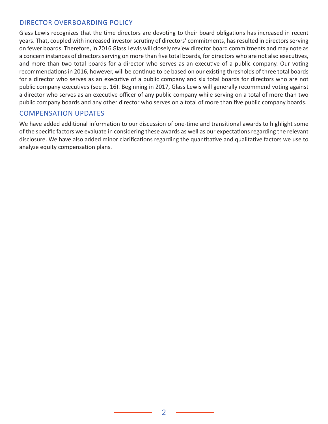#### DIRECTOR OVERBOARDING POLICY

Glass Lewis recognizes that the time directors are devoting to their board obligations has increased in recent years. That, coupled with increased investor scrutiny of directors' commitments, has resulted in directors serving on fewer boards. Therefore, in 2016 Glass Lewis will closely review director board commitments and may note as a concern instances of directors serving on more than five total boards, for directors who are not also executives, and more than two total boards for a director who serves as an executive of a public company. Our voting recommendations in 2016, however, will be continue to be based on our existing thresholds of three total boards for a director who serves as an executive of a public company and six total boards for directors who are not public company executives (see p. 16). Beginning in 2017, Glass Lewis will generally recommend voting against a director who serves as an executive officer of any public company while serving on a total of more than two public company boards and any other director who serves on a total of more than five public company boards.

#### COMPENSATION UPDATES

We have added additional information to our discussion of one-time and transitional awards to highlight some of the specific factors we evaluate in considering these awards as well as our expectations regarding the relevant disclosure. We have also added minor clarifications regarding the quantitative and qualitative factors we use to analyze equity compensation plans.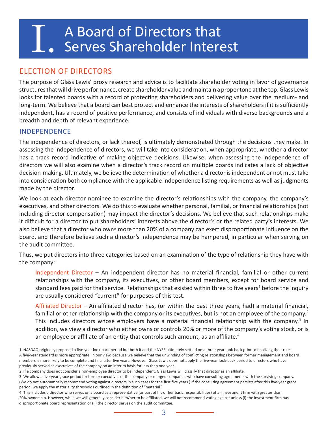# A Board of Directors that<br>Serves Shareholder Interest

# ELECTION OF DIRECTORS

The purpose of Glass Lewis' proxy research and advice is to facilitate shareholder voting in favor of governance structures that will drive performance, create shareholder value and maintain a proper tone at the top. Glass Lewis looks for talented boards with a record of protecting shareholders and delivering value over the medium- and long-term. We believe that a board can best protect and enhance the interests of shareholders if it is sufficiently independent, has a record of positive performance, and consists of individuals with diverse backgrounds and a breadth and depth of relevant experience.

#### INDEPENDENCE

The independence of directors, or lack thereof, is ultimately demonstrated through the decisions they make. In assessing the independence of directors, we will take into consideration, when appropriate, whether a director has a track record indicative of making objective decisions. Likewise, when assessing the independence of directors we will also examine when a director's track record on multiple boards indicates a lack of objective decision-making. Ultimately, we believe the determination of whether a director is independent or not must take into consideration both compliance with the applicable independence listing requirements as well as judgments made by the director.

We look at each director nominee to examine the director's relationships with the company, the company's executives, and other directors. We do this to evaluate whether personal, familial, or financial relationships (not including director compensation) may impact the director's decisions. We believe that such relationships make it difficult for a director to put shareholders' interests above the director's or the related party's interests. We also believe that a director who owns more than 20% of a company can exert disproportionate influence on the board, and therefore believe such a director's independence may be hampered, in particular when serving on the audit committee.

Thus, we put directors into three categories based on an examination of the type of relationship they have with the company:

Independent Director – An independent director has no material financial, familial or other current relationships with the company, its executives, or other board members, except for board service and standard fees paid for that service. Relationships that existed within three to five years<sup>1</sup> before the inquiry are usually considered "current" for purposes of this test.

Affiliated Director – An affiliated director has, (or within the past three years, had) a material financial, familial or other relationship with the company or its executives, but is not an employee of the company.<sup>2</sup> This includes directors whose employers have a material financial relationship with the company.<sup>3</sup> In addition, we view a director who either owns or controls 20% or more of the company's voting stock, or is an employee or affiliate of an entity that controls such amount, as an affiliate.<sup>4</sup>

<sup>1</sup> NASDAQ originally proposed a five-year look-back period but both it and the NYSE ultimately settled on a three-year look-back prior to finalizing their rules. A five-year standard is more appropriate, in our view, because we believe that the unwinding of conflicting relationships between former management and board members is more likely to be complete and final after five years. However, Glass Lewis does not apply the five-year look-back period to directors who have previously served as executives of the company on an interim basis for less than one year.

<sup>2</sup> If a company does not consider a non-employee director to be independent, Glass Lewis will classify that director as an affiliate.

<sup>3</sup> We allow a five-year grace period for former executives of the company or merged companies who have consulting agreements with the surviving company. (We do not automatically recommend voting against directors in such cases for the first five years.) If the consulting agreement persists after this five-year grace period, we apply the materiality thresholds outlined in the definition of "material."

<sup>4</sup> This includes a director who serves on a board as a representative (as part of his or her basic responsibilities) of an investment firm with greater than 20% ownership. However, while we will generally consider him/her to be affiliated, we will not recommend voting against unless (i) the investment firm has disproportionate board representation or (ii) the director serves on the audit committee.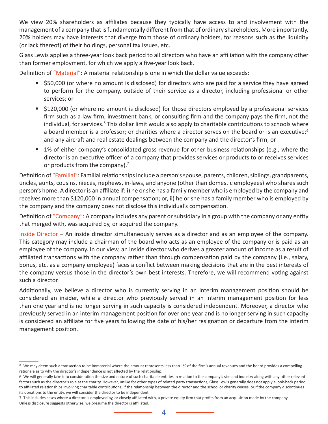We view 20% shareholders as affiliates because they typically have access to and involvement with the management of a company that is fundamentally different from that of ordinary shareholders. More importantly, 20% holders may have interests that diverge from those of ordinary holders, for reasons such as the liquidity (or lack thereof) of their holdings, personal tax issues, etc.

Glass Lewis applies a three-year look back period to all directors who have an affiliation with the company other than former employment, for which we apply a five-year look back.

Definition of "Material": A material relationship is one in which the dollar value exceeds:

- \$50,000 (or where no amount is disclosed) for directors who are paid for a service they have agreed to perform for the company, outside of their service as a director, including professional or other services; or
- \$120,000 (or where no amount is disclosed) for those directors employed by a professional services firm such as a law firm, investment bank, or consulting firm and the company pays the firm, not the individual, for services.<sup>5</sup> This dollar limit would also apply to charitable contributions to schools where a board member is a professor; or charities where a director serves on the board or is an executive; $6$ and any aircraft and real estate dealings between the company and the director's firm; or
- 1% of either company's consolidated gross revenue for other business relationships (e.g., where the director is an executive officer of a company that provides services or products to or receives services or products from the company). $7$

Definition of "Familial": Familial relationships include a person's spouse, parents, children, siblings, grandparents, uncles, aunts, cousins, nieces, nephews, in-laws, and anyone (other than domestic employees) who shares such person's home. A director is an affiliate if: i) he or she has a family member who is employed by the company and receives more than \$120,000 in annual compensation; or, ii) he or she has a family member who is employed by the company and the company does not disclose this individual's compensation.

Definition of "Company": A company includes any parent or subsidiary in a group with the company or any entity that merged with, was acquired by, or acquired the company.

Inside Director – An inside director simultaneously serves as a director and as an employee of the company. This category may include a chairman of the board who acts as an employee of the company or is paid as an employee of the company. In our view, an inside director who derives a greater amount of income as a result of affiliated transactions with the company rather than through compensation paid by the company (i.e., salary, bonus, etc. as a company employee) faces a conflict between making decisions that are in the best interests of the company versus those in the director's own best interests. Therefore, we will recommend voting against such a director.

Additionally, we believe a director who is currently serving in an interim management position should be considered an insider, while a director who previously served in an interim management position for less than one year and is no longer serving in such capacity is considered independent. Moreover, a director who previously served in an interim management position for over one year and is no longer serving in such capacity is considered an affiliate for five years following the date of his/her resignation or departure from the interim management position.

<sup>5</sup> We may deem such a transaction to be immaterial where the amount represents less than 1% of the firm's annual revenues and the board provides a compelling rationale as to why the director's independence is not affected by the relationship.

<sup>6</sup> We will generally take into consideration the size and nature of such charitable entities in relation to the company's size and industry along with any other relevant factors such as the director's role at the charity. However, unlike for other types of related party transactions, Glass Lewis generally does not apply a look-back period to affiliated relationships involving charitable contributions; if the relationship between the director and the school or charity ceases, or if the company discontinues its donations to the entity, we will consider the director to be independent.

<sup>7</sup> This includes cases where a director is employed by, or closely affiliated with, a private equity firm that profits from an acquisition made by the company. Unless disclosure suggests otherwise, we presume the director is affiliated.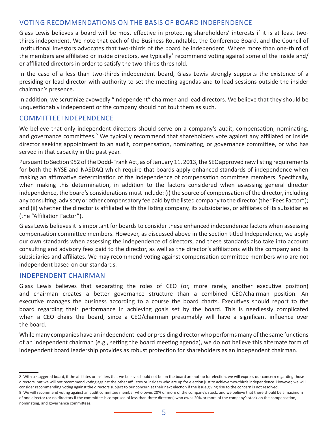#### VOTING RECOMMENDATIONS ON THE BASIS OF BOARD INDEPENDENCE

Glass Lewis believes a board will be most effective in protecting shareholders' interests if it is at least twothirds independent. We note that each of the Business Roundtable, the Conference Board, and the Council of Institutional Investors advocates that two-thirds of the board be independent. Where more than one-third of the members are affiliated or inside directors, we typically<sup>8</sup> recommend voting against some of the inside and/ or affiliated directors in order to satisfy the two-thirds threshold.

In the case of a less than two-thirds independent board, Glass Lewis strongly supports the existence of a presiding or lead director with authority to set the meeting agendas and to lead sessions outside the insider chairman's presence.

In addition, we scrutinize avowedly "independent" chairmen and lead directors. We believe that they should be unquestionably independent or the company should not tout them as such.

#### COMMITTEE INDEPENDENCE

We believe that only independent directors should serve on a company's audit, compensation, nominating, and governance committees.<sup>9</sup> We typically recommend that shareholders vote against any affiliated or inside director seeking appointment to an audit, compensation, nominating, or governance committee, or who has served in that capacity in the past year.

Pursuant to Section 952 of the Dodd-Frank Act, as of January 11, 2013, the SEC approved new listing requirements for both the NYSE and NASDAQ which require that boards apply enhanced standards of independence when making an affirmative determination of the independence of compensation committee members. Specifically, when making this determination, in addition to the factors considered when assessing general director independence, the board's considerations must include: (i) the source of compensation of the director, including any consulting, advisory or other compensatory fee paid by the listed company to the director (the "Fees Factor"); and (ii) whether the director is affiliated with the listing company, its subsidiaries, or affiliates of its subsidiaries (the "Affiliation Factor").

Glass Lewis believes it is important for boards to consider these enhanced independence factors when assessing compensation committee members. However, as discussed above in the section titled Independence, we apply our own standards when assessing the independence of directors, and these standards also take into account consulting and advisory fees paid to the director, as well as the director's affiliations with the company and its subsidiaries and affiliates. We may recommend voting against compensation committee members who are not independent based on our standards.

#### INDEPENDENT CHAIRMAN

Glass Lewis believes that separating the roles of CEO (or, more rarely, another executive position) and chairman creates a better governance structure than a combined CEO/chairman position. An executive manages the business according to a course the board charts. Executives should report to the board regarding their performance in achieving goals set by the board. This is needlessly complicated when a CEO chairs the board, since a CEO/chairman presumably will have a significant influence over the board.

While many companies have an independent lead or presiding director who performs many of the same functions of an independent chairman (e.g., setting the board meeting agenda), we do not believe this alternate form of independent board leadership provides as robust protection for shareholders as an independent chairman.

<sup>8</sup> With a staggered board, if the affiliates or insiders that we believe should not be on the board are not up for election, we will express our concern regarding those directors, but we will not recommend voting against the other affiliates or insiders who are up for election just to achieve two-thirds independence. However, we will consider recommending voting against the directors subject to our concern at their next election if the issue giving rise to the concern is not resolved. 9 We will recommend voting against an audit committee member who owns 20% or more of the company's stock, and we believe that there should be a maximum of one director (or no directors if the committee is comprised of less than three directors) who owns 20% or more of the company's stock on the compensation, nominating, and governance committees.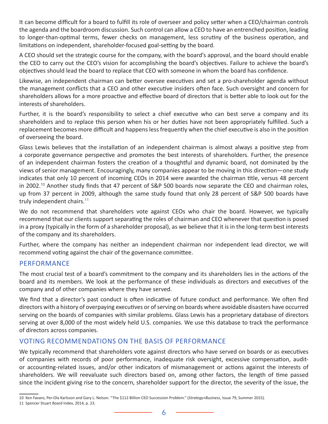It can become difficult for a board to fulfill its role of overseer and policy setter when a CEO/chairman controls the agenda and the boardroom discussion. Such control can allow a CEO to have an entrenched position, leading to longer-than-optimal terms, fewer checks on management, less scrutiny of the business operation, and limitations on independent, shareholder-focused goal-setting by the board.

A CEO should set the strategic course for the company, with the board's approval, and the board should enable the CEO to carry out the CEO's vision for accomplishing the board's objectives. Failure to achieve the board's objectives should lead the board to replace that CEO with someone in whom the board has confidence.

Likewise, an independent chairman can better oversee executives and set a pro-shareholder agenda without the management conflicts that a CEO and other executive insiders often face. Such oversight and concern for shareholders allows for a more proactive and effective board of directors that is better able to look out for the interests of shareholders.

Further, it is the board's responsibility to select a chief executive who can best serve a company and its shareholders and to replace this person when his or her duties have not been appropriately fulfilled. Such a replacement becomes more difficult and happens less frequently when the chief executive is also in the position of overseeing the board.

Glass Lewis believes that the installation of an independent chairman is almost always a positive step from a corporate governance perspective and promotes the best interests of shareholders. Further, the presence of an independent chairman fosters the creation of a thoughtful and dynamic board, not dominated by the views of senior management. Encouragingly, many companies appear to be moving in this direction—one study indicates that only 10 percent of incoming CEOs in 2014 were awarded the chairman title, versus 48 percent in 2002.<sup>10</sup> Another study finds that 47 percent of S&P 500 boards now separate the CEO and chairman roles, up from 37 percent in 2009, although the same study found that only 28 percent of S&P 500 boards have truly independent chairs.<sup>11</sup>

We do not recommend that shareholders vote against CEOs who chair the board. However, we typically recommend that our clients support separating the roles of chairman and CEO whenever that question is posed in a proxy (typically in the form of a shareholder proposal), as we believe that it is in the long-term best interests of the company and its shareholders.

Further, where the company has neither an independent chairman nor independent lead director, we will recommend voting against the chair of the governance committee.

#### PERFORMANCE

The most crucial test of a board's commitment to the company and its shareholders lies in the actions of the board and its members. We look at the performance of these individuals as directors and executives of the company and of other companies where they have served.

We find that a director's past conduct is often indicative of future conduct and performance. We often find directors with a history of overpaying executives or of serving on boards where avoidable disasters have occurred serving on the boards of companies with similar problems. Glass Lewis has a proprietary database of directors serving at over 8,000 of the most widely held U.S. companies. We use this database to track the performance of directors across companies.

#### VOTING RECOMMENDATIONS ON THE BASIS OF PERFORMANCE

We typically recommend that shareholders vote against directors who have served on boards or as executives of companies with records of poor performance, inadequate risk oversight, excessive compensation, auditor accounting-related issues, and/or other indicators of mismanagement or actions against the interests of shareholders. We will reevaluate such directors based on, among other factors, the length of time passed since the incident giving rise to the concern, shareholder support for the director, the severity of the issue, the

<sup>10</sup> Ken Favaro, Per-Ola Karlsson and Gary L. Nelson. "The \$112 Billion CEO Succession Problem." (*Strategy+Business*, Issue 79, Summer 2015).

<sup>11</sup> Spencer Stuart Board Index, 2014, p. 23.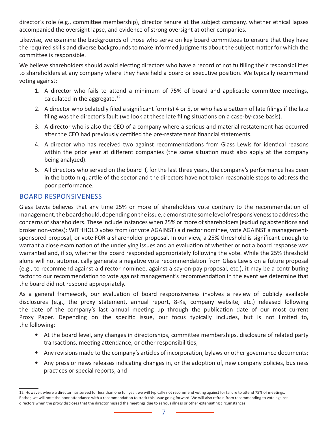director's role (e.g., committee membership), director tenure at the subject company, whether ethical lapses accompanied the oversight lapse, and evidence of strong oversight at other companies.

Likewise, we examine the backgrounds of those who serve on key board committees to ensure that they have the required skills and diverse backgrounds to make informed judgments about the subject matter for which the committee is responsible.

We believe shareholders should avoid electing directors who have a record of not fulfilling their responsibilities to shareholders at any company where they have held a board or executive position. We typically recommend voting against:

- 1. A director who fails to attend a minimum of 75% of board and applicable committee meetings, calculated in the aggregate.<sup>12</sup>
- 2. A director who belatedly filed a significant form(s) 4 or 5, or who has a pattern of late filings if the late filing was the director's fault (we look at these late filing situations on a case-by-case basis).
- 3. A director who is also the CEO of a company where a serious and material restatement has occurred after the CEO had previously certified the pre-restatement financial statements.
- 4. A director who has received two against recommendations from Glass Lewis for identical reasons within the prior year at different companies (the same situation must also apply at the company being analyzed).
- 5. All directors who served on the board if, for the last three years, the company's performance has been in the bottom quartile of the sector and the directors have not taken reasonable steps to address the poor performance.

### BOARD RESPONSIVENESS

Glass Lewis believes that any time 25% or more of shareholders vote contrary to the recommendation of management, the board should, depending on the issue, demonstrate some level of responsiveness to address the concerns of shareholders. These include instances when 25% or more of shareholders (excluding abstentions and broker non-votes): WITHHOLD votes from (or vote AGAINST) a director nominee, vote AGAINST a managementsponsored proposal, or vote FOR a shareholder proposal. In our view, a 25% threshold is significant enough to warrant a close examination of the underlying issues and an evaluation of whether or not a board response was warranted and, if so, whether the board responded appropriately following the vote. While the 25% threshold alone will not automatically generate a negative vote recommendation from Glass Lewis on a future proposal (e.g., to recommend against a director nominee, against a say-on-pay proposal, etc.), it may be a contributing factor to our recommendation to vote against management's recommendation in the event we determine that the board did not respond appropriately.

As a general framework, our evaluation of board responsiveness involves a review of publicly available disclosures (e.g., the proxy statement, annual report, 8-Ks, company website, etc.) released following the date of the company's last annual meeting up through the publication date of our most current Proxy Paper. Depending on the specific issue, our focus typically includes, but is not limited to, the following:

- At the board level, any changes in directorships, committee memberships, disclosure of related party transactions, meeting attendance, or other responsibilities;
- Any revisions made to the company's articles of incorporation, bylaws or other governance documents;
- Any press or news releases indicating changes in, or the adoption of, new company policies, business practices or special reports; and

<sup>12</sup> However, where a director has served for less than one full year, we will typically not recommend voting against for failure to attend 75% of meetings. Rather, we will note the poor attendance with a recommendation to track this issue going forward. We will also refrain from recommending to vote against directors when the proxy discloses that the director missed the meetings due to serious illness or other extenuating circumstances.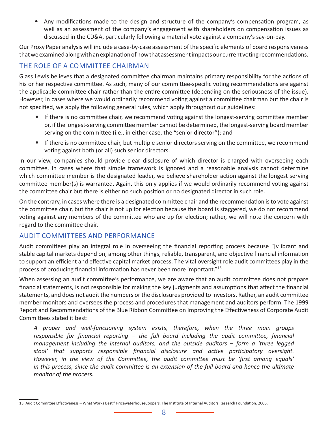• Any modifications made to the design and structure of the company's compensation program, as well as an assessment of the company's engagement with shareholders on compensation issues as discussed in the CD&A, particularly following a material vote against a company's say-on-pay.

Our Proxy Paper analysis will include a case-by-case assessment of the specific elements of board responsiveness that we examined along with an explanation of how that assessment impacts our current voting recommendations.

### THE ROLE OF A COMMITTEE CHAIRMAN

Glass Lewis believes that a designated committee chairman maintains primary responsibility for the actions of his or her respective committee. As such, many of our committee-specific voting recommendations are against the applicable committee chair rather than the entire committee (depending on the seriousness of the issue). However, in cases where we would ordinarily recommend voting against a committee chairman but the chair is not specified, we apply the following general rules, which apply throughout our guidelines:

- If there is no committee chair, we recommend voting against the longest-serving committee member or, if the longest-serving committee member cannot be determined, the longest-serving board member serving on the committee (i.e., in either case, the "senior director"); and
- If there is no committee chair, but multiple senior directors serving on the committee, we recommend voting against both (or all) such senior directors.

In our view, companies should provide clear disclosure of which director is charged with overseeing each committee. In cases where that simple framework is ignored and a reasonable analysis cannot determine which committee member is the designated leader, we believe shareholder action against the longest serving committee member(s) is warranted. Again, this only applies if we would ordinarily recommend voting against the committee chair but there is either no such position or no designated director in such role.

On the contrary, in cases where there is a designated committee chair and the recommendation is to vote against the committee chair, but the chair is not up for election because the board is staggered, we do not recommend voting against any members of the committee who are up for election; rather, we will note the concern with regard to the committee chair.

#### AUDIT COMMITTEES AND PERFORMANCE

Audit committees play an integral role in overseeing the financial reporting process because "[v]ibrant and stable capital markets depend on, among other things, reliable, transparent, and objective financial information to support an efficient and effective capital market process. The vital oversight role audit committees play in the process of producing financial information has never been more important."<sup>13</sup>

When assessing an audit committee's performance, we are aware that an audit committee does not prepare financial statements, is not responsible for making the key judgments and assumptions that affect the financial statements, and does not audit the numbers or the disclosures provided to investors. Rather, an audit committee member monitors and oversees the process and procedures that management and auditors perform. The 1999 Report and Recommendations of the Blue Ribbon Committee on Improving the Effectiveness of Corporate Audit Committees stated it best:

*A proper and well-functioning system exists, therefore, when the three main groups responsible for financial reporting – the full board including the audit committee, financial management including the internal auditors, and the outside auditors – form a 'three legged stool' that supports responsible financial disclosure and active participatory oversight. However, in the view of the Committee, the audit committee must be 'first among equals' in this process, since the audit committee is an extension of the full board and hence the ultimate monitor of the process.* 

<sup>13</sup> Audit Committee Effectiveness – What Works Best." PricewaterhouseCoopers. The Institute of Internal Auditors Research Foundation. 2005.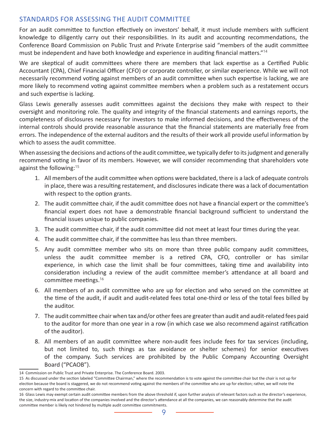#### STANDARDS FOR ASSESSING THE AUDIT COMMITTEE

For an audit committee to function effectively on investors' behalf, it must include members with sufficient knowledge to diligently carry out their responsibilities. In its audit and accounting recommendations, the Conference Board Commission on Public Trust and Private Enterprise said "members of the audit committee must be independent and have both knowledge and experience in auditing financial matters."<sup>14</sup>

We are skeptical of audit committees where there are members that lack expertise as a Certified Public Accountant (CPA), Chief Financial Officer (CFO) or corporate controller, or similar experience. While we will not necessarily recommend voting against members of an audit committee when such expertise is lacking, we are more likely to recommend voting against committee members when a problem such as a restatement occurs and such expertise is lacking.

Glass Lewis generally assesses audit committees against the decisions they make with respect to their oversight and monitoring role. The quality and integrity of the financial statements and earnings reports, the completeness of disclosures necessary for investors to make informed decisions, and the effectiveness of the internal controls should provide reasonable assurance that the financial statements are materially free from errors. The independence of the external auditors and the results of their work all provide useful information by which to assess the audit committee.

When assessing the decisions and actions of the audit committee, we typically defer to its judgment and generally recommend voting in favor of its members. However, we will consider recommending that shareholders vote against the following:<sup>15</sup>

- 1. All members of the audit committee when options were backdated, there is a lack of adequate controls in place, there was a resulting restatement, and disclosures indicate there was a lack of documentation with respect to the option grants.
- 2. The audit committee chair, if the audit committee does not have a financial expert or the committee's financial expert does not have a demonstrable financial background sufficient to understand the financial issues unique to public companies.
- 3. The audit committee chair, if the audit committee did not meet at least four times during the year.
- 4. The audit committee chair, if the committee has less than three members.
- 5. Any audit committee member who sits on more than three public company audit committees, unless the audit committee member is a retired CPA, CFO, controller or has similar experience, in which case the limit shall be four committees, taking time and availability into consideration including a review of the audit committee member's attendance at all board and committee meetings.<sup>16</sup>
- 6. All members of an audit committee who are up for election and who served on the committee at the time of the audit, if audit and audit-related fees total one-third or less of the total fees billed by the auditor.
- 7. The audit committee chair when tax and/or other fees are greater than audit and audit-related fees paid to the auditor for more than one year in a row (in which case we also recommend against ratification of the auditor).
- 8. All members of an audit committee where non-audit fees include fees for tax services (including, but not limited to, such things as tax avoidance or shelter schemes) for senior executives of the company. Such services are prohibited by the Public Company Accounting Oversight Board ("PCAOB").

<sup>14</sup> Commission on Public Trust and Private Enterprise. The Conference Board. 2003.

<sup>15</sup> As discussed under the section labeled "Committee Chairman," where the recommendation is to vote against the committee chair but the chair is not up for election because the board is staggered, we do not recommend voting against the members of the committee who are up for election; rather, we will note the concern with regard to the committee chair.

<sup>16</sup> Glass Lewis may exempt certain audit committee members from the above threshold if, upon further analysis of relevant factors such as the director's experience, the size, industry-mix and location of the companies involved and the director's attendance at all the companies, we can reasonably determine that the audit committee member is likely not hindered by multiple audit committee commitments.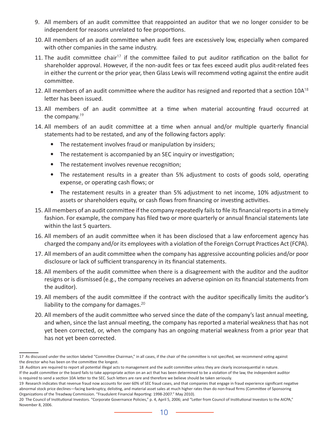- 9. All members of an audit committee that reappointed an auditor that we no longer consider to be independent for reasons unrelated to fee proportions.
- 10. All members of an audit committee when audit fees are excessively low, especially when compared with other companies in the same industry.
- 11. The audit committee chair<sup>17</sup> if the committee failed to put auditor ratification on the ballot for shareholder approval. However, if the non-audit fees or tax fees exceed audit plus audit-related fees in either the current or the prior year, then Glass Lewis will recommend voting against the entire audit committee.
- 12. All members of an audit committee where the auditor has resigned and reported that a section 10A<sup>18</sup> letter has been issued.
- 13. All members of an audit committee at a time when material accounting fraud occurred at the company.<sup>19</sup>
- 14. All members of an audit committee at a time when annual and/or multiple quarterly financial statements had to be restated, and any of the following factors apply:
	- The restatement involves fraud or manipulation by insiders;
	- The restatement is accompanied by an SEC inquiry or investigation;
	- The restatement involves revenue recognition;
	- The restatement results in a greater than 5% adjustment to costs of goods sold, operating expense, or operating cash flows; or
	- The restatement results in a greater than 5% adjustment to net income, 10% adjustment to assets or shareholders equity, or cash flows from financing or investing activities.
- 15. All members of an audit committee if the company repeatedly fails to file its financial reports in a timely fashion. For example, the company has filed two or more quarterly or annual financial statements late within the last 5 quarters.
- 16. All members of an audit committee when it has been disclosed that a law enforcement agency has charged the company and/or its employees with a violation of the Foreign Corrupt Practices Act (FCPA).
- 17. All members of an audit committee when the company has aggressive accounting policies and/or poor disclosure or lack of sufficient transparency in its financial statements.
- 18. All members of the audit committee when there is a disagreement with the auditor and the auditor resigns or is dismissed (e.g., the company receives an adverse opinion on its financial statements from the auditor).
- 19. All members of the audit committee if the contract with the auditor specifically limits the auditor's liability to the company for damages. $^{20}$
- 20. All members of the audit committee who served since the date of the company's last annual meeting, and when, since the last annual meeting, the company has reported a material weakness that has not yet been corrected, or, when the company has an ongoing material weakness from a prior year that has not yet been corrected.

<sup>17</sup> As discussed under the section labeled "Committee Chairman," in all cases, if the chair of the committee is not specified, we recommend voting against the director who has been on the committee the longest.

<sup>18</sup> Auditors are required to report all potential illegal acts to management and the audit committee unless they are clearly inconsequential in nature.

If the audit committee or the board fails to take appropriate action on an act that has been determined to be a violation of the law, the independent auditor is required to send a section 10A letter to the SEC. Such letters are rare and therefore we believe should be taken seriously.

<sup>19</sup> Research indicates that revenue fraud now accounts for over 60% of SEC fraud cases, and that companies that engage in fraud experience significant negative abnormal stock price declines—facing bankruptcy, delisting, and material asset sales at much higher rates than do non-fraud firms (Committee of Sponsoring Organizations of the Treadway Commission. "Fraudulent Financial Reporting: 1998-2007." May 2010).

<sup>20</sup> The Council of Institutional Investors. "Corporate Governance Policies," p. 4, April 5, 2006; and "Letter from Council of Institutional Investors to the AICPA," November 8, 2006.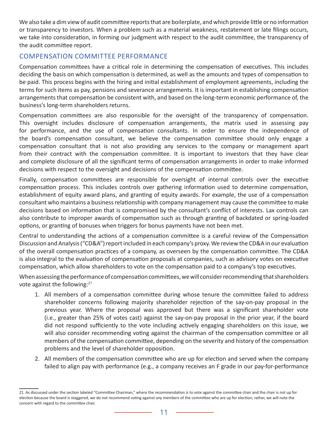We also take a dim view of audit committee reports that are boilerplate, and which provide little or no information or transparency to investors. When a problem such as a material weakness, restatement or late filings occurs, we take into consideration, in forming our judgment with respect to the audit committee, the transparency of the audit committee report.

#### COMPENSATION COMMITTEE PERFORMANCE

Compensation committees have a critical role in determining the compensation of executives. This includes deciding the basis on which compensation is determined, as well as the amounts and types of compensation to be paid. This process begins with the hiring and initial establishment of employment agreements, including the terms for such items as pay, pensions and severance arrangements. It is important in establishing compensation arrangements that compensation be consistent with, and based on the long-term economic performance of, the business's long-term shareholders returns.

Compensation committees are also responsible for the oversight of the transparency of compensation. This oversight includes disclosure of compensation arrangements, the matrix used in assessing pay for performance, and the use of compensation consultants. In order to ensure the independence of the board's compensation consultant, we believe the compensation committee should only engage a compensation consultant that is not also providing any services to the company or management apart from their contract with the compensation committee. It is important to investors that they have clear and complete disclosure of all the significant terms of compensation arrangements in order to make informed decisions with respect to the oversight and decisions of the compensation committee.

Finally, compensation committees are responsible for oversight of internal controls over the executive compensation process. This includes controls over gathering information used to determine compensation, establishment of equity award plans, and granting of equity awards. For example, the use of a compensation consultant who maintains a business relationship with company management may cause the committee to make decisions based on information that is compromised by the consultant's conflict of interests. Lax controls can also contribute to improper awards of compensation such as through granting of backdated or spring-loaded options, or granting of bonuses when triggers for bonus payments have not been met.

Central to understanding the actions of a compensation committee is a careful review of the Compensation Discussion and Analysis ("CD&A") report included in each company's proxy. We review the CD&A in our evaluation of the overall compensation practices of a company, as overseen by the compensation committee. The CD&A is also integral to the evaluation of compensation proposals at companies, such as advisory votes on executive compensation, which allow shareholders to vote on the compensation paid to a company's top executives.

When assessing the performance of compensation committees, we will consider recommending that shareholders vote against the following:<sup>21</sup>

- 1. All members of a compensation committee during whose tenure the committee failed to address shareholder concerns following majority shareholder rejection of the say-on-pay proposal in the previous year. Where the proposal was approved but there was a significant shareholder vote (i.e., greater than 25% of votes cast) against the say-on-pay proposal in the prior year, if the board did not respond sufficiently to the vote including actively engaging shareholders on this issue, we will also consider recommending voting against the chairman of the compensation committee or all members of the compensation committee, depending on the severity and history of the compensation problems and the level of shareholder opposition.
- 2. All members of the compensation committee who are up for election and served when the company failed to align pay with performance (e.g., a company receives an F grade in our pay-for-performance

<sup>21</sup> As discussed under the section labeled "Committee Chairman," where the recommendation is to vote against the committee chair and the chair is not up for election because the board is staggered, we do not recommend voting against any members of the committee who are up for election; rather, we will note the concern with regard to the committee chair.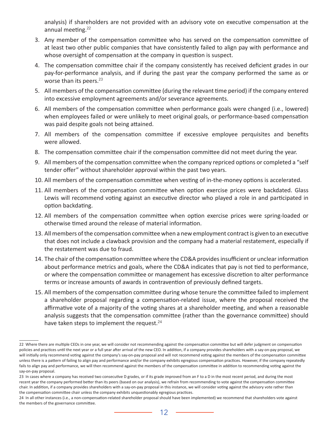analysis) if shareholders are not provided with an advisory vote on executive compensation at the annual meeting.<sup>22</sup>

- 3. Any member of the compensation committee who has served on the compensation committee of at least two other public companies that have consistently failed to align pay with performance and whose oversight of compensation at the company in question is suspect.
- 4. The compensation committee chair if the company consistently has received deficient grades in our pay-for-performance analysis, and if during the past year the company performed the same as or worse than its peers. $23$
- 5. All members of the compensation committee (during the relevant time period) if the company entered into excessive employment agreements and/or severance agreements.
- 6. All members of the compensation committee when performance goals were changed (i.e., lowered) when employees failed or were unlikely to meet original goals, or performance-based compensation was paid despite goals not being attained.
- 7. All members of the compensation committee if excessive employee perquisites and benefits were allowed.
- 8. The compensation committee chair if the compensation committee did not meet during the year.
- 9. All members of the compensation committee when the company repriced options or completed a "self tender offer" without shareholder approval within the past two years.
- 10. All members of the compensation committee when vesting of in-the-money options is accelerated.
- 11. All members of the compensation committee when option exercise prices were backdated. Glass Lewis will recommend voting against an executive director who played a role in and participated in option backdating.
- 12. All members of the compensation committee when option exercise prices were spring-loaded or otherwise timed around the release of material information.
- 13. All members of the compensation committee when a new employment contract is given to an executive that does not include a clawback provision and the company had a material restatement, especially if the restatement was due to fraud.
- 14. The chair of the compensation committee where the CD&A provides insufficient or unclear information about performance metrics and goals, where the CD&A indicates that pay is not tied to performance, or where the compensation committee or management has excessive discretion to alter performance terms or increase amounts of awards in contravention of previously defined targets.
- 15. All members of the compensation committee during whose tenure the committee failed to implement a shareholder proposal regarding a compensation-related issue, where the proposal received the affirmative vote of a majority of the voting shares at a shareholder meeting, and when a reasonable analysis suggests that the compensation committee (rather than the governance committee) should have taken steps to implement the request.  $24$

<sup>22</sup> Where there are multiple CEOs in one year, we will consider not recommending against the compensation committee but will defer judgment on compensation policies and practices until the next year or a full year after arrival of the new CEO. In addition, if a company provides shareholders with a say-on-pay proposal, we will initially only recommend voting against the company's say-on-pay proposal and will not recommend voting against the members of the compensation committee unless there is a pattern of failing to align pay and performance and/or the company exhibits egregious compensation practices. However, if the company repeatedly fails to align pay and performance, we will then recommend against the members of the compensation committee in addition to recommending voting against the say-on-pay proposal.

<sup>23</sup> In cases where a company has received two consecutive D grades, or if its grade improved from an F to a D in the most recent period, and during the most recent year the company performed better than its peers (based on our analysis), we refrain from recommending to vote against the compensation committee chair. In addition, if a company provides shareholders with a say-on-pay proposal in this instance, we will consider voting against the advisory vote rather than the compensation committee chair unless the company exhibits unquestionably egregious practices.

<sup>24</sup> In all other instances (i.e., a non-compensation-related shareholder proposal should have been implemented) we recommend that shareholders vote against the members of the governance committee.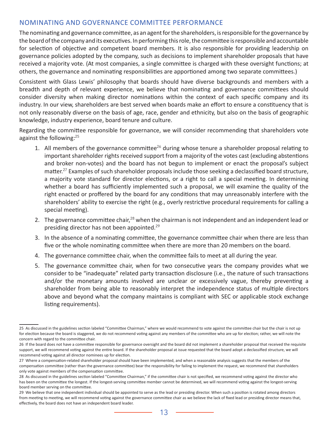#### NOMINATING AND GOVERNANCE COMMITTEE PERFORMANCE

The nominating and governance committee, as an agent for the shareholders, is responsible for the governance by the board of the company and its executives. In performing this role, the committee is responsible and accountable for selection of objective and competent board members. It is also responsible for providing leadership on governance policies adopted by the company, such as decisions to implement shareholder proposals that have received a majority vote. (At most companies, a single committee is charged with these oversight functions; at others, the governance and nominating responsibilities are apportioned among two separate committees.)

Consistent with Glass Lewis' philosophy that boards should have diverse backgrounds and members with a breadth and depth of relevant experience, we believe that nominating and governance committees should consider diversity when making director nominations within the context of each specific company and its industry. In our view, shareholders are best served when boards make an effort to ensure a constituency that is not only reasonably diverse on the basis of age, race, gender and ethnicity, but also on the basis of geographic knowledge, industry experience, board tenure and culture.

Regarding the committee responsible for governance, we will consider recommending that shareholders vote against the following:<sup>25</sup>

- 1. All members of the governance committee<sup>26</sup> during whose tenure a shareholder proposal relating to important shareholder rights received support from a majority of the votes cast (excluding abstentions and broker non-votes) and the board has not begun to implement or enact the proposal's subject matter.<sup>27</sup> Examples of such shareholder proposals include those seeking a declassified board structure, a majority vote standard for director elections, or a right to call a special meeting. In determining whether a board has sufficiently implemented such a proposal, we will examine the quality of the right enacted or proffered by the board for any conditions that may unreasonably interfere with the shareholders' ability to exercise the right (e.g., overly restrictive procedural requirements for calling a special meeting).
- 2. The governance committee chair,  $28$  when the chairman is not independent and an independent lead or presiding director has not been appointed.<sup>29</sup>
- 3. In the absence of a nominating committee, the governance committee chair when there are less than five or the whole nominating committee when there are more than 20 members on the board.
- 4. The governance committee chair, when the committee fails to meet at all during the year.
- 5. The governance committee chair, when for two consecutive years the company provides what we consider to be "inadequate" related party transaction disclosure (i.e., the nature of such transactions and/or the monetary amounts involved are unclear or excessively vague, thereby preventing a shareholder from being able to reasonably interpret the independence status of multiple directors above and beyond what the company maintains is compliant with SEC or applicable stock exchange listing requirements).

<sup>25</sup> As discussed in the guidelines section labeled "Committee Chairman," where we would recommend to vote against the committee chair but the chair is not up for election because the board is staggered, we do not recommend voting against any members of the committee who are up for election; rather, we will note the concern with regard to the committee chair.

<sup>26</sup> If the board does not have a committee responsible for governance oversight and the board did not implement a shareholder proposal that received the requisite support, we will recommend voting against the entire board. If the shareholder proposal at issue requested that the board adopt a declassified structure, we will recommend voting against all director nominees up for election.

<sup>27</sup> Where a compensation-related shareholder proposal should have been implemented, and when a reasonable analysis suggests that the members of the compensation committee (rather than the governance committee) bear the responsibility for failing to implement the request, we recommend that shareholders only vote against members of the compensation committee.

<sup>28</sup> As discussed in the guidelines section labeled "Committee Chairman," if the committee chair is not specified, we recommend voting against the director who has been on the committee the longest. If the longest-serving committee member cannot be determined, we will recommend voting against the longest-serving board member serving on the committee.

<sup>29</sup> We believe that one independent individual should be appointed to serve as the lead or presiding director. When such a position is rotated among directors from meeting to meeting, we will recommend voting against the governance committee chair as we believe the lack of fixed lead or presiding director means that, effectively, the board does not have an independent board leader.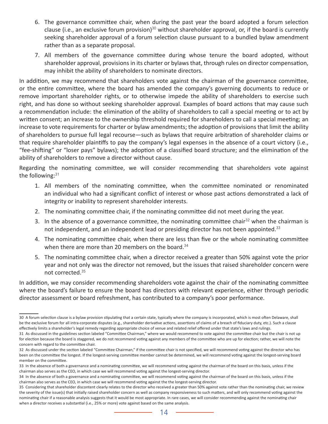- 6. The governance committee chair, when during the past year the board adopted a forum selection clause (i.e., an exclusive forum provision)<sup>30</sup> without shareholder approval, or, if the board is currently seeking shareholder approval of a forum selection clause pursuant to a bundled bylaw amendment rather than as a separate proposal.
- 7. All members of the governance committee during whose tenure the board adopted, without shareholder approval, provisions in its charter or bylaws that, through rules on director compensation, may inhibit the ability of shareholders to nominate directors.

In addition, we may recommend that shareholders vote against the chairman of the governance committee, or the entire committee, where the board has amended the company's governing documents to reduce or remove important shareholder rights, or to otherwise impede the ability of shareholders to exercise such right, and has done so without seeking shareholder approval. Examples of board actions that may cause such a recommendation include: the elimination of the ability of shareholders to call a special meeting or to act by written consent; an increase to the ownership threshold required for shareholders to call a special meeting; an increase to vote requirements for charter or bylaw amendments; the adoption of provisions that limit the ability of shareholders to pursue full legal recourse—such as bylaws that require arbitration of shareholder claims or that require shareholder plaintiffs to pay the company's legal expenses in the absence of a court victory (i.e., "fee-shifting" or "loser pays" bylaws); the adoption of a classified board structure; and the elimination of the ability of shareholders to remove a director without cause.

Regarding the nominating committee, we will consider recommending that shareholders vote against the following: $31$ 

- 1. All members of the nominating committee, when the committee nominated or renominated an individual who had a significant conflict of interest or whose past actions demonstrated a lack of integrity or inability to represent shareholder interests.
- 2. The nominating committee chair, if the nominating committee did not meet during the year.
- 3. In the absence of a governance committee, the nominating committee chair<sup>32</sup> when the chairman is not independent, and an independent lead or presiding director has not been appointed. $33$
- 4. The nominating committee chair, when there are less than five or the whole nominating committee when there are more than 20 members on the board.<sup>34</sup>
- 5. The nominating committee chair, when a director received a greater than 50% against vote the prior year and not only was the director not removed, but the issues that raised shareholder concern were not corrected.<sup>35</sup>

In addition, we may consider recommending shareholders vote against the chair of the nominating committee where the board's failure to ensure the board has directors with relevant experience, either through periodic director assessment or board refreshment, has contributed to a company's poor performance.

<sup>30</sup> A forum selection clause is a bylaw provision stipulating that a certain state, typically where the company is incorporated, which is most often Delaware, shall be the exclusive forum for all intra-corporate disputes (e.g., shareholder derivative actions, assertions of claims of a breach of fiduciary duty, etc.). Such a clause effectively limits a shareholder's legal remedy regarding appropriate choice of venue and related relief offered under that state's laws and rulings.

<sup>31</sup> As discussed in the guidelines section labeled "Committee Chairman," where we would recommend to vote against the committee chair but the chair is not up for election because the board is staggered, we do not recommend voting against any members of the committee who are up for election; rather, we will note the concern with regard to the committee chair.

<sup>32</sup> As discussed under the section labeled "Committee Chairman," if the committee chair is not specified, we will recommend voting against the director who has been on the committee the longest. If the longest-serving committee member cannot be determined, we will recommend voting against the longest-serving board member on the committee.

<sup>33</sup> In the absence of both a governance and a nominating committee, we will recommend voting against the chairman of the board on this basis, unless if the chairman also serves as the CEO, in which case we will recommend voting against the longest-serving director.

<sup>34</sup> In the absence of both a governance and a nominating committee, we will recommend voting against the chairman of the board on this basis, unless if the chairman also serves as the CEO, in which case we will recommend voting against the the longest-serving director.

<sup>35</sup> Considering that shareholder discontent clearly relates to the director who received a greater than 50% against vote rather than the nominating chair, we review the severity of the issue(s) that initially raised shareholder concern as well as company responsiveness to such matters, and will only recommend voting against the nominating chair if a reasonable analysis suggests that it would be most appropriate. In rare cases, we will consider recommending against the nominating chair when a director receives a substantial (i.e., 25% or more) vote against based on the same analysis.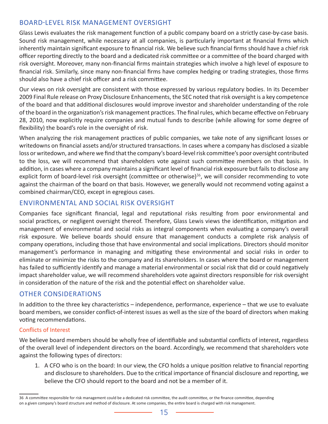#### BOARD-LEVEL RISK MANAGEMENT OVERSIGHT

Glass Lewis evaluates the risk management function of a public company board on a strictly case-by-case basis. Sound risk management, while necessary at all companies, is particularly important at financial firms which inherently maintain significant exposure to financial risk. We believe such financial firms should have a chief risk officer reporting directly to the board and a dedicated risk committee or a committee of the board charged with risk oversight. Moreover, many non-financial firms maintain strategies which involve a high level of exposure to financial risk. Similarly, since many non-financial firms have complex hedging or trading strategies, those firms should also have a chief risk officer and a risk committee.

Our views on risk oversight are consistent with those expressed by various regulatory bodies. In its December 2009 Final Rule release on Proxy Disclosure Enhancements, the SEC noted that risk oversight is a key competence of the board and that additional disclosures would improve investor and shareholder understanding of the role of the board in the organization's risk management practices. The final rules, which became effective on February 28, 2010, now explicitly require companies and mutual funds to describe (while allowing for some degree of flexibility) the board's role in the oversight of risk.

When analyzing the risk management practices of public companies, we take note of any significant losses or writedowns on financial assets and/or structured transactions. In cases where a company has disclosed a sizable loss or writedown, and where we find that the company's board-level risk committee's poor oversight contributed to the loss, we will recommend that shareholders vote against such committee members on that basis. In addition, in cases where a company maintains a significant level of financial risk exposure but fails to disclose any explicit form of board-level risk oversight (committee or otherwise)<sup>36</sup>, we will consider recommending to vote against the chairman of the board on that basis. However, we generally would not recommend voting against a combined chairman/CEO, except in egregious cases.

#### ENVIRONMENTAL AND SOCIAL RISK OVERSIGHT

Companies face significant financial, legal and reputational risks resulting from poor environmental and social practices, or negligent oversight thereof. Therefore, Glass Lewis views the identification, mitigation and management of environmental and social risks as integral components when evaluating a company's overall risk exposure. We believe boards should ensure that management conducts a complete risk analysis of company operations, including those that have environmental and social implications. Directors should monitor management's performance in managing and mitigating these environmental and social risks in order to eliminate or minimize the risks to the company and its shareholders. In cases where the board or management has failed to sufficiently identify and manage a material environmental or social risk that did or could negatively impact shareholder value, we will recommend shareholders vote against directors responsible for risk oversight in consideration of the nature of the risk and the potential effect on shareholder value.

#### OTHER CONSIDERATIONS

In addition to the three key characteristics – independence, performance, experience – that we use to evaluate board members, we consider conflict-of-interest issues as well as the size of the board of directors when making voting recommendations.

#### Conflicts of Interest

We believe board members should be wholly free of identifiable and substantial conflicts of interest, regardless of the overall level of independent directors on the board. Accordingly, we recommend that shareholders vote against the following types of directors:

1. A CFO who is on the board: In our view, the CFO holds a unique position relative to financial reporting and disclosure to shareholders. Due to the critical importance of financial disclosure and reporting, we believe the CFO should report to the board and not be a member of it.

<sup>36</sup> A committee responsible for risk management could be a dedicated risk committee, the audit committee, or the finance committee, depending on a given company's board structure and method of disclosure. At some companies, the entire board is charged with risk management.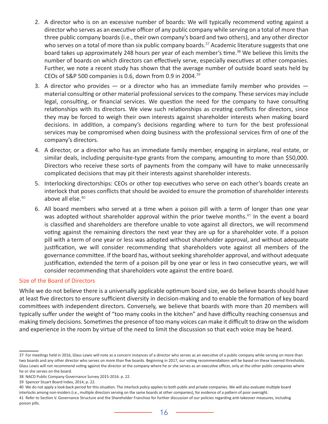- 2. A director who is on an excessive number of boards: We will typically recommend voting against a director who serves as an executive officer of any public company while serving on a total of more than three public company boards (i.e., their own company's board and two others), and any other director who serves on a total of more than six public company boards.<sup>37</sup> Academic literature suggests that one board takes up approximately 248 hours per year of each member's time.<sup>38</sup> We believe this limits the number of boards on which directors can effectively serve, especially executives at other companies. Further, we note a recent study has shown that the average number of outside board seats held by CEOs of S&P 500 companies is 0.6, down from 0.9 in 2004.<sup>39</sup>
- 3. A director who provides  $-$  or a director who has an immediate family member who provides  $$ material consulting or other material professional services to the company. These services may include legal, consulting, or financial services. We question the need for the company to have consulting relationships with its directors. We view such relationships as creating conflicts for directors, since they may be forced to weigh their own interests against shareholder interests when making board decisions. In addition, a company's decisions regarding where to turn for the best professional services may be compromised when doing business with the professional services firm of one of the company's directors.
- 4. A director, or a director who has an immediate family member, engaging in airplane, real estate, or similar deals, including perquisite-type grants from the company, amounting to more than \$50,000. Directors who receive these sorts of payments from the company will have to make unnecessarily complicated decisions that may pit their interests against shareholder interests.
- 5. Interlocking directorships: CEOs or other top executives who serve on each other's boards create an interlock that poses conflicts that should be avoided to ensure the promotion of shareholder interests above all else.<sup>40</sup>
- 6. All board members who served at a time when a poison pill with a term of longer than one year was adopted without shareholder approval within the prior twelve months.<sup>41</sup> In the event a board is classified and shareholders are therefore unable to vote against all directors, we will recommend voting against the remaining directors the next year they are up for a shareholder vote. If a poison pill with a term of one year or less was adopted without shareholder approval, and without adequate justification, we will consider recommending that shareholders vote against all members of the governance committee. If the board has, without seeking shareholder approval, and without adequate justification, extended the term of a poison pill by one year or less in two consecutive years, we will consider recommending that shareholders vote against the entire board.

#### Size of the Board of Directors

While we do not believe there is a universally applicable optimum board size, we do believe boards should have at least five directors to ensure sufficient diversity in decision-making and to enable the formation of key board committees with independent directors. Conversely, we believe that boards with more than 20 members will typically suffer under the weight of "too many cooks in the kitchen" and have difficulty reaching consensus and making timely decisions. Sometimes the presence of too many voices can make it difficult to draw on the wisdom and experience in the room by virtue of the need to limit the discussion so that each voice may be heard.

<sup>37</sup> For meetings held in 2016, Glass Lewis will note as a concern instances of a director who serves as an executive of a public company while serving on more than two boards and any other director who serves on more than five boards. Beginning in 2017, our voting recommendations will be based on these lowered thresholds. Glass Lewis will not recommend voting against the director at the company where he or she serves as an executive officer, only at the other public companies where he or she serves on the board.

<sup>38</sup> NACD Public Company Governance Survey 2015-2016. p. 22.

<sup>39</sup> Spencer Stuart Board Index, 2014, p. 22.

<sup>40</sup> We do not apply a look-back period for this situation. The interlock policy applies to both public and private companies. We will also evaluate multiple board interlocks among non-insiders (i.e., multiple directors serving on the same boards at other companies), for evidence of a pattern of poor oversight.

<sup>41</sup> Refer to Section V. Governance Structure and the Shareholder Franchise for further discussion of our policies regarding anti-takeover measures, including poison pills.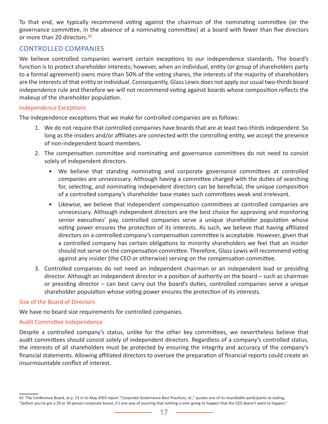To that end, we typically recommend voting against the chairman of the nominating committee (or the governance committee, in the absence of a nominating committee) at a board with fewer than five directors or more than 20 directors.<sup>42</sup>

#### CONTROLLED COMPANIES

We believe controlled companies warrant certain exceptions to our independence standards. The board's function is to protect shareholder interests; however, when an individual, entity (or group of shareholders party to a formal agreement) owns more than 50% of the voting shares, the interests of the majority of shareholders are the interests of that entity or individual. Consequently, Glass Lewis does not apply our usual two-thirds board independence rule and therefore we will not recommend voting against boards whose composition reflects the makeup of the shareholder population.

#### Independence Exceptions

The independence exceptions that we make for controlled companies are as follows:

- 1. We do not require that controlled companies have boards that are at least two-thirds independent. So long as the insiders and/or affiliates are connected with the controlling entity, we accept the presence of non-independent board members.
- 2. The compensation committee and nominating and governance committees do not need to consist solely of independent directors.
	- We believe that standing nominating and corporate governance committees at controlled companies are unnecessary. Although having a committee charged with the duties of searching for, selecting, and nominating independent directors can be beneficial, the unique composition of a controlled company's shareholder base makes such committees weak and irrelevant.
	- Likewise, we believe that independent compensation committees at controlled companies are unnecessary. Although independent directors are the best choice for approving and monitoring senior executives' pay, controlled companies serve a unique shareholder population whose voting power ensures the protection of its interests. As such, we believe that having affiliated directors on a controlled company's compensation committee is acceptable. However, given that a controlled company has certain obligations to minority shareholders we feel that an insider should not serve on the compensation committee. Therefore, Glass Lewis will recommend voting against any insider (the CEO or otherwise) serving on the compensation committee.
- 3. Controlled companies do not need an independent chairman or an independent lead or presiding director. Although an independent director in a position of authority on the board – such as chairman or presiding director – can best carry out the board's duties, controlled companies serve a unique shareholder population whose voting power ensures the protection of its interests.

#### Size of the Board of Directors

We have no board size requirements for controlled companies.

#### Audit Committee Independence

Despite a controlled company's status, unlike for the other key committees, we nevertheless believe that audit committees should consist solely of independent directors. Regardless of a company's controlled status, the interests of all shareholders must be protected by ensuring the integrity and accuracy of the company's financial statements. Allowing affiliated directors to oversee the preparation of financial reports could create an insurmountable conflict of interest.

<sup>42</sup> The Conference Board, at p. 23 in its May 2003 report "Corporate Governance Best Practices, Id.," quotes one of its roundtable participants as stating, "[w]hen you've got a 20 or 30 person corporate board, it's one way of assuring that nothing is ever going to happen that the CEO doesn't want to happen."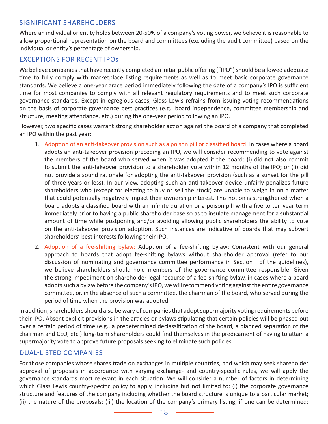#### SIGNIFICANT SHAREHOLDERS

Where an individual or entity holds between 20-50% of a company's voting power, we believe it is reasonable to allow proportional representation on the board and committees (excluding the audit committee) based on the individual or entity's percentage of ownership.

#### EXCEPTIONS FOR RECENT IPOs

We believe companies that have recently completed an initial public offering ("IPO") should be allowed adequate time to fully comply with marketplace listing requirements as well as to meet basic corporate governance standards. We believe a one-year grace period immediately following the date of a company's IPO is sufficient time for most companies to comply with all relevant regulatory requirements and to meet such corporate governance standards. Except in egregious cases, Glass Lewis refrains from issuing voting recommendations on the basis of corporate governance best practices (e.g., board independence, committee membership and structure, meeting attendance, etc.) during the one-year period following an IPO.

However, two specific cases warrant strong shareholder action against the board of a company that completed an IPO within the past year:

- 1. Adoption of an anti-takeover provision such as a poison pill or classified board: In cases where a board adopts an anti-takeover provision preceding an IPO, we will consider recommending to vote against the members of the board who served when it was adopted if the board: (i) did not also commit to submit the anti-takeover provision to a shareholder vote within 12 months of the IPO; or (ii) did not provide a sound rationale for adopting the anti-takeover provision (such as a sunset for the pill of three years or less). In our view, adopting such an anti-takeover device unfairly penalizes future shareholders who (except for electing to buy or sell the stock) are unable to weigh in on a matter that could potentially negatively impact their ownership interest. This notion is strengthened when a board adopts a classified board with an infinite duration or a poison pill with a five to ten year term immediately prior to having a public shareholder base so as to insulate management for a substantial amount of time while postponing and/or avoiding allowing public shareholders the ability to vote on the anti-takeover provision adoption. Such instances are indicative of boards that may subvert shareholders' best interests following their IPO.
- 2. Adoption of a fee-shifting bylaw: Adoption of a fee-shifting bylaw: Consistent with our general approach to boards that adopt fee-shifting bylaws without shareholder approval (refer to our discussion of nominating and governance committee performance in Section I of the guidelines), we believe shareholders should hold members of the governance committee responsible. Given the strong impediment on shareholder legal recourse of a fee-shifting bylaw, in cases where a board adopts such a bylaw before the company's IPO, we will recommend voting against the entire governance committee, or, in the absence of such a committee, the chairman of the board, who served during the period of time when the provision was adopted.

In addition, shareholders should also be wary of companies that adopt supermajority voting requirements before their IPO. Absent explicit provisions in the articles or bylaws stipulating that certain policies will be phased out over a certain period of time (e.g., a predetermined declassification of the board, a planned separation of the chairman and CEO, etc.) long-term shareholders could find themselves in the predicament of having to attain a supermajority vote to approve future proposals seeking to eliminate such policies.

#### DUAL-LISTED COMPANIES

For those companies whose shares trade on exchanges in multiple countries, and which may seek shareholder approval of proposals in accordance with varying exchange- and country-specific rules, we will apply the governance standards most relevant in each situation. We will consider a number of factors in determining which Glass Lewis country-specific policy to apply, including but not limited to: (i) the corporate governance structure and features of the company including whether the board structure is unique to a particular market; (ii) the nature of the proposals; (iii) the location of the company's primary listing, if one can be determined;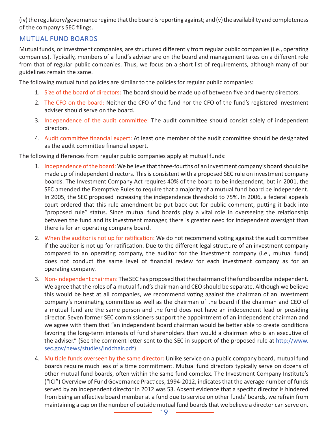(iv) the regulatory/governance regime that the board is reporting against; and (v) the availability and completeness of the company's SEC filings.

#### MUTUAL FUND BOARDS

Mutual funds, or investment companies, are structured differently from regular public companies (i.e., operating companies). Typically, members of a fund's adviser are on the board and management takes on a different role from that of regular public companies. Thus, we focus on a short list of requirements, although many of our guidelines remain the same.

The following mutual fund policies are similar to the policies for regular public companies:

- 1. Size of the board of directors: The board should be made up of between five and twenty directors.
- 2. The CFO on the board: Neither the CFO of the fund nor the CFO of the fund's registered investment adviser should serve on the board.
- 3. Independence of the audit committee: The audit committee should consist solely of independent directors.
- 4. Audit committee financial expert: At least one member of the audit committee should be designated as the audit committee financial expert.

The following differences from regular public companies apply at mutual funds:

- 1. Independence of the board: We believe that three-fourths of an investment company's board should be made up of independent directors. This is consistent with a proposed SEC rule on investment company boards. The Investment Company Act requires 40% of the board to be independent, but in 2001, the SEC amended the Exemptive Rules to require that a majority of a mutual fund board be independent. In 2005, the SEC proposed increasing the independence threshold to 75%. In 2006, a federal appeals court ordered that this rule amendment be put back out for public comment, putting it back into "proposed rule" status. Since mutual fund boards play a vital role in overseeing the relationship between the fund and its investment manager, there is greater need for independent oversight than there is for an operating company board.
- 2. When the auditor is not up for ratification: We do not recommend voting against the audit committee if the auditor is not up for ratification. Due to the different legal structure of an investment company compared to an operating company, the auditor for the investment company (i.e., mutual fund) does not conduct the same level of financial review for each investment company as for an operating company.
- 3. Non-independent chairman: The SEC has proposed that the chairman of the fund board be independent. We agree that the roles of a mutual fund's chairman and CEO should be separate. Although we believe this would be best at all companies, we recommend voting against the chairman of an investment company's nominating committee as well as the chairman of the board if the chairman and CEO of a mutual fund are the same person and the fund does not have an independent lead or presiding director. Seven former SEC commissioners support the appointment of an independent chairman and we agree with them that "an independent board chairman would be better able to create conditions favoring the long-term interests of fund shareholders than would a chairman who is an executive of the adviser." (See the comment letter sent to the SEC in support of the proposed rule at [http://www.](http://www.sec.gov/news/studies/indchair.pdf) [sec.gov/news/studies/indchair.pdf\)](http://www.sec.gov/news/studies/indchair.pdf)
- 4. Multiple funds overseen by the same director: Unlike service on a public company board, mutual fund boards require much less of a time commitment. Mutual fund directors typically serve on dozens of other mutual fund boards, often within the same fund complex. The Investment Company Institute's ("ICI") Overview of Fund Governance Practices, 1994-2012, indicates that the average number of funds served by an independent director in 2012 was 53. Absent evidence that a specific director is hindered from being an effective board member at a fund due to service on other funds' boards, we refrain from maintaining a cap on the number of outside mutual fund boards that we believe a director can serve on.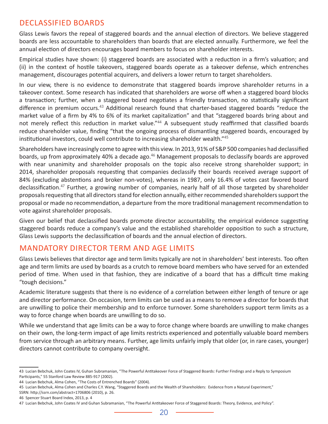# DECLASSIFIED BOARDS

Glass Lewis favors the repeal of staggered boards and the annual election of directors. We believe staggered boards are less accountable to shareholders than boards that are elected annually. Furthermore, we feel the annual election of directors encourages board members to focus on shareholder interests.

Empirical studies have shown: (i) staggered boards are associated with a reduction in a firm's valuation; and (ii) in the context of hostile takeovers, staggered boards operate as a takeover defense, which entrenches management, discourages potential acquirers, and delivers a lower return to target shareholders.

In our view, there is no evidence to demonstrate that staggered boards improve shareholder returns in a takeover context. Some research has indicated that shareholders are worse off when a staggered board blocks a transaction; further, when a staggered board negotiates a friendly transaction, no statistically significant difference in premium occurs.<sup>43</sup> Additional research found that charter-based staggered boards "reduce the market value of a firm by 4% to 6% of its market capitalization" and that "staggered boards bring about and not merely reflect this reduction in market value."<sup>44</sup> A subsequent study reaffirmed that classified boards reduce shareholder value, finding "that the ongoing process of dismantling staggered boards, encouraged by institutional investors, could well contribute to increasing shareholder wealth."<sup>45</sup>

Shareholders have increasingly come to agree with this view. In 2013, 91% of S&P 500 companies had declassified boards, up from approximately 40% a decade ago.<sup>46</sup> Management proposals to declassify boards are approved with near unanimity and shareholder proposals on the topic also receive strong shareholder support; in 2014, shareholder proposals requesting that companies declassify their boards received average support of 84% (excluding abstentions and broker non-votes), whereas in 1987, only 16.4% of votes cast favored board declassification.<sup>47</sup> Further, a growing number of companies, nearly half of all those targeted by shareholder proposals requesting that all directors stand for election annually, either recommended shareholders support the proposal or made no recommendation, a departure from the more traditional management recommendation to vote against shareholder proposals.

Given our belief that declassified boards promote director accountability, the empirical evidence suggesting staggered boards reduce a company's value and the established shareholder opposition to such a structure, Glass Lewis supports the declassification of boards and the annual election of directors.

# MANDATORY DIRECTOR TERM AND AGE LIMITS

Glass Lewis believes that director age and term limits typically are not in shareholders' best interests. Too often age and term limits are used by boards as a crutch to remove board members who have served for an extended period of time. When used in that fashion, they are indicative of a board that has a difficult time making "tough decisions."

Academic literature suggests that there is no evidence of a correlation between either length of tenure or age and director performance. On occasion, term limits can be used as a means to remove a director for boards that are unwilling to police their membership and to enforce turnover. Some shareholders support term limits as a way to force change when boards are unwilling to do so.

While we understand that age limits can be a way to force change where boards are unwilling to make changes on their own, the long-term impact of age limits restricts experienced and potentially valuable board members from service through an arbitrary means. Further, age limits unfairly imply that older (or, in rare cases, younger) directors cannot contribute to company oversight.

<sup>43</sup> Lucian Bebchuk, John Coates IV, Guhan Subramanian, "The Powerful Antitakeover Force of Staggered Boards: Further Findings and a Reply to Symposium Participants," 55 Stanford Law Review 885-917 (2002).

<sup>44</sup> Lucian Bebchuk, Alma Cohen, "The Costs of Entrenched Boards" (2004).

<sup>45</sup> Lucian Bebchuk, Alma Cohen and Charles C.Y. Wang, "Staggered Boards and the Wealth of Shareholders: Evidence from a Natural Experiment," SSRN: http://ssrn.com/abstract=1706806 (2010), p. 26.

<sup>46</sup> Spencer Stuart Board Index, 2013, p. 4

<sup>47</sup> Lucian Bebchuk, John Coates IV and Guhan Subramanian, "The Powerful Antitakeover Force of Staggered Boards: Theory, Evidence, and Policy".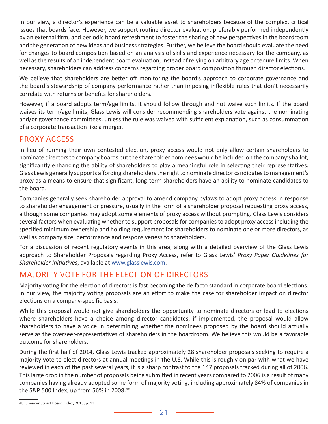In our view, a director's experience can be a valuable asset to shareholders because of the complex, critical issues that boards face. However, we support routine director evaluation, preferably performed independently by an external firm, and periodic board refreshment to foster the sharing of new perspectives in the boardroom and the generation of new ideas and business strategies. Further, we believe the board should evaluate the need for changes to board composition based on an analysis of skills and experience necessary for the company, as well as the results of an independent board evaluation, instead of relying on arbitrary age or tenure limits. When necessary, shareholders can address concerns regarding proper board composition through director elections.

We believe that shareholders are better off monitoring the board's approach to corporate governance and the board's stewardship of company performance rather than imposing inflexible rules that don't necessarily correlate with returns or benefits for shareholders.

However, if a board adopts term/age limits, it should follow through and not waive such limits. If the board waives its term/age limits, Glass Lewis will consider recommending shareholders vote against the nominating and/or governance committees, unless the rule was waived with sufficient explanation, such as consummation of a corporate transaction like a merger.

# PROXY ACCESS

In lieu of running their own contested election, proxy access would not only allow certain shareholders to nominate directors to company boards but the shareholder nominees would be included on the company's ballot, significantly enhancing the ability of shareholders to play a meaningful role in selecting their representatives. Glass Lewis generally supports affording shareholders the right to nominate director candidates to management's proxy as a means to ensure that significant, long-term shareholders have an ability to nominate candidates to the board.

Companies generally seek shareholder approval to amend company bylaws to adopt proxy access in response to shareholder engagement or pressure, usually in the form of a shareholder proposal requesting proxy access, although some companies may adopt some elements of proxy access without prompting. Glass Lewis considers several factors when evaluating whether to support proposals for companies to adopt proxy access including the specified minimum ownership and holding requirement for shareholders to nominate one or more directors, as well as company size, performance and responsiveness to shareholders.

For a discussion of recent regulatory events in this area, along with a detailed overview of the Glass Lewis approach to Shareholder Proposals regarding Proxy Access, refer to Glass Lewis' *Proxy Paper Guidelines for Shareholder Initiatives*, available at [www.glasslewis.com](http://www.glasslewis.com).

# MAJORITY VOTE FOR THE ELECTION OF DIRECTORS

Majority voting for the election of directors is fast becoming the de facto standard in corporate board elections. In our view, the majority voting proposals are an effort to make the case for shareholder impact on director elections on a company-specific basis.

While this proposal would not give shareholders the opportunity to nominate directors or lead to elections where shareholders have a choice among director candidates, if implemented, the proposal would allow shareholders to have a voice in determining whether the nominees proposed by the board should actually serve as the overseer-representatives of shareholders in the boardroom. We believe this would be a favorable outcome for shareholders.

During the first half of 2014, Glass Lewis tracked approximately 28 shareholder proposals seeking to require a majority vote to elect directors at annual meetings in the U.S. While this is roughly on par with what we have reviewed in each of the past several years, it is a sharp contrast to the 147 proposals tracked during all of 2006. This large drop in the number of proposals being submitted in recent years compared to 2006 is a result of many companies having already adopted some form of majority voting, including approximately 84% of companies in the S&P 500 Index, up from 56% in 2008.<sup>48</sup>

<sup>48</sup> Spencer Stuart Board Index, 2013, p. 13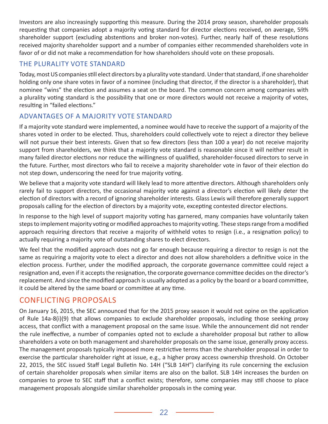Investors are also increasingly supporting this measure. During the 2014 proxy season, shareholder proposals requesting that companies adopt a majority voting standard for director elections received, on average, 59% shareholder support (excluding abstentions and broker non-votes). Further, nearly half of these resolutions received majority shareholder support and a number of companies either recommended shareholders vote in favor of or did not make a recommendation for how shareholders should vote on these proposals.

#### THE PLURALITY VOTE STANDARD

Today, most US companies still elect directors by a plurality vote standard. Under that standard, if one shareholder holding only one share votes in favor of a nominee (including that director, if the director is a shareholder), that nominee "wins" the election and assumes a seat on the board. The common concern among companies with a plurality voting standard is the possibility that one or more directors would not receive a majority of votes, resulting in "failed elections."

# ADVANTAGES OF A MAJORITY VOTE STANDARD

If a majority vote standard were implemented, a nominee would have to receive the support of a majority of the shares voted in order to be elected. Thus, shareholders could collectively vote to reject a director they believe will not pursue their best interests. Given that so few directors (less than 100 a year) do not receive majority support from shareholders, we think that a majority vote standard is reasonable since it will neither result in many failed director elections nor reduce the willingness of qualified, shareholder-focused directors to serve in the future. Further, most directors who fail to receive a majority shareholder vote in favor of their election do not step down, underscoring the need for true majority voting.

We believe that a majority vote standard will likely lead to more attentive directors. Although shareholders only rarely fail to support directors, the occasional majority vote against a director's election will likely deter the election of directors with a record of ignoring shareholder interests. Glass Lewis will therefore generally support proposals calling for the election of directors by a majority vote, excepting contested director elections.

In response to the high level of support majority voting has garnered, many companies have voluntarily taken steps to implement majority voting or modified approaches to majority voting. These steps range from a modified approach requiring directors that receive a majority of withheld votes to resign (i.e., a resignation policy) to actually requiring a majority vote of outstanding shares to elect directors.

We feel that the modified approach does not go far enough because requiring a director to resign is not the same as requiring a majority vote to elect a director and does not allow shareholders a definitive voice in the election process. Further, under the modified approach, the corporate governance committee could reject a resignation and, even if it accepts the resignation, the corporate governance committee decides on the director's replacement. And since the modified approach is usually adopted as a policy by the board or a board committee, it could be altered by the same board or committee at any time.

# CONFLICTING PROPOSALS

On January 16, 2015, the SEC announced that for the 2015 proxy season it would not opine on the application of Rule 14a-8(i)(9) that allows companies to exclude shareholder proposals, including those seeking proxy access, that conflict with a management proposal on the same issue. While the announcement did not render the rule ineffective, a number of companies opted not to exclude a shareholder proposal but rather to allow shareholders a vote on both management and shareholder proposals on the same issue, generally proxy access. The management proposals typically imposed more restrictive terms than the shareholder proposal in order to exercise the particular shareholder right at issue, e.g., a higher proxy access ownership threshold. On October 22, 2015, the SEC issued Staff Legal Bulletin No. 14H ("SLB 14H") clarifying its rule concerning the exclusion of certain shareholder proposals when similar items are also on the ballot. SLB 14H increases the burden on companies to prove to SEC staff that a conflict exists; therefore, some companies may still choose to place management proposals alongside similar shareholder proposals in the coming year.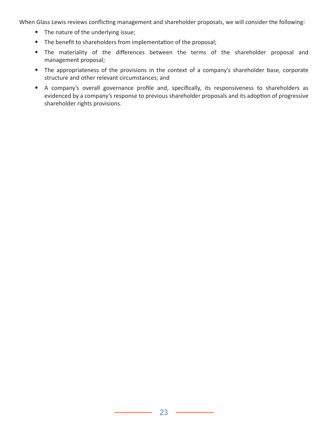When Glass Lewis reviews conflicting management and shareholder proposals, we will consider the following:

- The nature of the underlying issue;
- The benefit to shareholders from implementation of the proposal;
- The materiality of the differences between the terms of the shareholder proposal and management proposal;
- The appropriateness of the provisions in the context of a company's shareholder base, corporate structure and other relevant circumstances; and
- A company's overall governance profile and, specifically, its responsiveness to shareholders as evidenced by a company's response to previous shareholder proposals and its adoption of progressive shareholder rights provisions.

 $\overline{\phantom{a}}$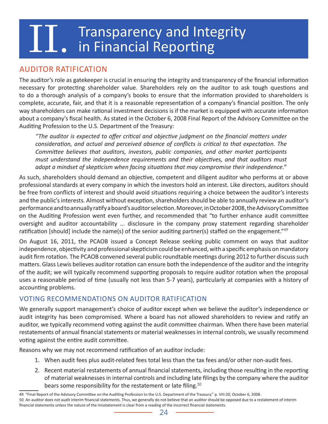# **Transparency and Integrity**<br>IT. in Financial Reporting

# AUDITOR RATIFICATION

The auditor's role as gatekeeper is crucial in ensuring the integrity and transparency of the financial information necessary for protecting shareholder value. Shareholders rely on the auditor to ask tough questions and to do a thorough analysis of a company's books to ensure that the information provided to shareholders is complete, accurate, fair, and that it is a reasonable representation of a company's financial position. The only way shareholders can make rational investment decisions is if the market is equipped with accurate information about a company's fiscal health. As stated in the October 6, 2008 Final Report of the Advisory Committee on the Auditing Profession to the U.S. Department of the Treasury:

*"The auditor is expected to offer critical and objective judgment on the financial matters under consideration, and actual and perceived absence of conflicts is critical to that expectation. The Committee believes that auditors, investors, public companies, and other market participants must understand the independence requirements and their objectives, and that auditors must adopt a mindset of skepticism when facing situations that may compromise their independence."* 

As such, shareholders should demand an objective, competent and diligent auditor who performs at or above professional standards at every company in which the investors hold an interest. Like directors, auditors should be free from conflicts of interest and should avoid situations requiring a choice between the auditor's interests and the public's interests. Almost without exception, shareholders should be able to annually review an auditor's performance and to annually ratify a board's auditor selection. Moreover, in October 2008, the Advisory Committee on the Auditing Profession went even further, and recommended that "to further enhance audit committee oversight and auditor accountability ... disclosure in the company proxy statement regarding shareholder ratification [should] include the name(s) of the senior auditing partner(s) staffed on the engagement."<sup>49</sup>

On August 16, 2011, the PCAOB issued a Concept Release seeking public comment on ways that auditor independence, objectivity and professional skepticism could be enhanced, with a specific emphasis on mandatory audit firm rotation. The PCAOB convened several public roundtable meetings during 2012 to further discuss such matters. Glass Lewis believes auditor rotation can ensure both the independence of the auditor and the integrity of the audit; we will typically recommend supporting proposals to require auditor rotation when the proposal uses a reasonable period of time (usually not less than 5-7 years), particularly at companies with a history of accounting problems.

#### VOTING RECOMMENDATIONS ON AUDITOR RATIFICATION

We generally support management's choice of auditor except when we believe the auditor's independence or audit integrity has been compromised. Where a board has not allowed shareholders to review and ratify an auditor, we typically recommend voting against the audit committee chairman. When there have been material restatements of annual financial statements or material weaknesses in internal controls, we usually recommend voting against the entire audit committee.

Reasons why we may not recommend ratification of an auditor include:

- 1. When audit fees plus audit-related fees total less than the tax fees and/or other non-audit fees.
- 2. Recent material restatements of annual financial statements, including those resulting in the reporting of material weaknesses in internal controls and including late filings by the company where the auditor bears some responsibility for the restatement or late filing. $50$

<sup>49 &</sup>quot;Final Report of the Advisory Committee on the Auditing Profession to the U.S. Department of the Treasury." p. VIII:20, October 6, 2008.

<sup>50</sup> An auditor does not audit interim financial statements. Thus, we generally do not believe that an auditor should be opposed due to a restatement of interim financial statements unless the nature of the misstatement is clear from a reading of the incorrect financial statements.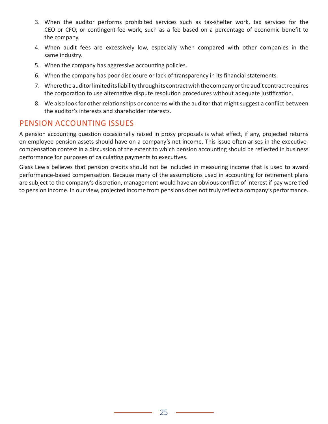- 3. When the auditor performs prohibited services such as tax-shelter work, tax services for the CEO or CFO, or contingent-fee work, such as a fee based on a percentage of economic benefit to the company.
- 4. When audit fees are excessively low, especially when compared with other companies in the same industry.
- 5. When the company has aggressive accounting policies.
- 6. When the company has poor disclosure or lack of transparency in its financial statements.
- 7. Where the auditor limited its liability through its contract with the company or the audit contract requires the corporation to use alternative dispute resolution procedures without adequate justification.
- 8. We also look for other relationships or concerns with the auditor that might suggest a conflict between the auditor's interests and shareholder interests.

# PENSION ACCOUNTING ISSUES

A pension accounting question occasionally raised in proxy proposals is what effect, if any, projected returns on employee pension assets should have on a company's net income. This issue often arises in the executivecompensation context in a discussion of the extent to which pension accounting should be reflected in business performance for purposes of calculating payments to executives.

Glass Lewis believes that pension credits should not be included in measuring income that is used to award performance-based compensation. Because many of the assumptions used in accounting for retirement plans are subject to the company's discretion, management would have an obvious conflict of interest if pay were tied to pension income. In our view, projected income from pensions does not truly reflect a company's performance.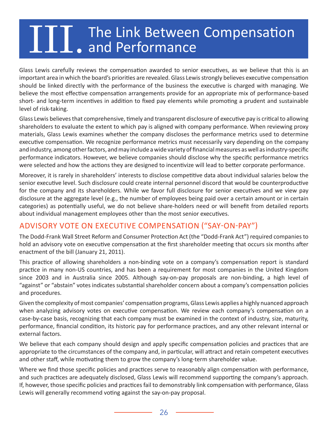# **The Link Between Compensation Compensation**

Glass Lewis carefully reviews the compensation awarded to senior executives, as we believe that this is an important area in which the board's priorities are revealed. Glass Lewis strongly believes executive compensation should be linked directly with the performance of the business the executive is charged with managing. We believe the most effective compensation arrangements provide for an appropriate mix of performance-based short- and long-term incentives in addition to fixed pay elements while promoting a prudent and sustainable level of risk-taking.

Glass Lewis believes that comprehensive, timely and transparent disclosure of executive pay is critical to allowing shareholders to evaluate the extent to which pay is aligned with company performance. When reviewing proxy materials, Glass Lewis examines whether the company discloses the performance metrics used to determine executive compensation. We recognize performance metrics must necessarily vary depending on the company and industry, among other factors, and may include a wide variety of financial measures as well as industry-specific performance indicators. However, we believe companies should disclose why the specific performance metrics were selected and how the actions they are designed to incentivize will lead to better corporate performance.

Moreover, it is rarely in shareholders' interests to disclose competitive data about individual salaries below the senior executive level. Such disclosure could create internal personnel discord that would be counterproductive for the company and its shareholders. While we favor full disclosure for senior executives and we view pay disclosure at the aggregate level (e.g., the number of employees being paid over a certain amount or in certain categories) as potentially useful, we do not believe share-holders need or will benefit from detailed reports about individual management employees other than the most senior executives.

# ADVISORY VOTE ON EXECUTIVE COMPENSATION ("SAY-ON-PAY")

The Dodd-Frank Wall Street Reform and Consumer Protection Act (the "Dodd-Frank Act") required companies to hold an advisory vote on executive compensation at the first shareholder meeting that occurs six months after enactment of the bill (January 21, 2011).

This practice of allowing shareholders a non-binding vote on a company's compensation report is standard practice in many non-US countries, and has been a requirement for most companies in the United Kingdom since 2003 and in Australia since 2005. Although say-on-pay proposals are non-binding, a high level of "against" or "abstain" votes indicates substantial shareholder concern about a company's compensation policies and procedures.

Given the complexity of most companies' compensation programs, Glass Lewis applies a highly nuanced approach when analyzing advisory votes on executive compensation. We review each company's compensation on a case-by-case basis, recognizing that each company must be examined in the context of industry, size, maturity, performance, financial condition, its historic pay for performance practices, and any other relevant internal or external factors.

We believe that each company should design and apply specific compensation policies and practices that are appropriate to the circumstances of the company and, in particular, will attract and retain competent executives and other staff, while motivating them to grow the company's long-term shareholder value.

Where we find those specific policies and practices serve to reasonably align compensation with performance, and such practices are adequately disclosed, Glass Lewis will recommend supporting the company's approach. If, however, those specific policies and practices fail to demonstrably link compensation with performance, Glass Lewis will generally recommend voting against the say-on-pay proposal.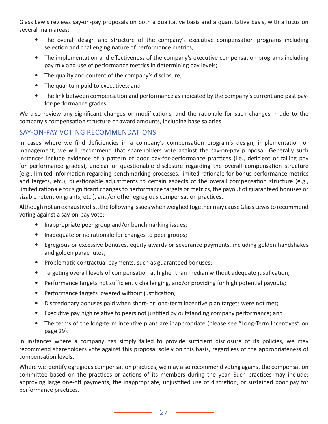Glass Lewis reviews say-on-pay proposals on both a qualitative basis and a quantitative basis, with a focus on several main areas:

- The overall design and structure of the company's executive compensation programs including selection and challenging nature of performance metrics;
- The implementation and effectiveness of the company's executive compensation programs including pay mix and use of performance metrics in determining pay levels;
- The quality and content of the company's disclosure;
- The quantum paid to executives; and
- The link between compensation and performance as indicated by the company's current and past payfor-performance grades.

We also review any significant changes or modifications, and the rationale for such changes, made to the company's compensation structure or award amounts, including base salaries.

# SAY-ON-PAY VOTING RECOMMENDATIONS

In cases where we find deficiencies in a company's compensation program's design, implementation or management, we will recommend that shareholders vote against the say-on-pay proposal. Generally such instances include evidence of a pattern of poor pay-for-performance practices (i.e., deficient or failing pay for performance grades), unclear or questionable disclosure regarding the overall compensation structure (e.g., limited information regarding benchmarking processes, limited rationale for bonus performance metrics and targets, etc.), questionable adjustments to certain aspects of the overall compensation structure (e.g., limited rationale for significant changes to performance targets or metrics, the payout of guaranteed bonuses or sizable retention grants, etc.), and/or other egregious compensation practices.

Although not an exhaustive list, the following issues when weighed together may cause Glass Lewis to recommend voting against a say-on-pay vote:

- Inappropriate peer group and/or benchmarking issues;
- Inadequate or no rationale for changes to peer groups;
- Egregious or excessive bonuses, equity awards or severance payments, including golden handshakes and golden parachutes;
- Problematic contractual payments, such as guaranteed bonuses;
- Targeting overall levels of compensation at higher than median without adequate justification;
- Performance targets not sufficiently challenging, and/or providing for high potential payouts;
- Performance targets lowered without justification;
- Discretionary bonuses paid when short- or long-term incentive plan targets were not met;
- Executive pay high relative to peers not justified by outstanding company performance; and
- The terms of the long-term incentive plans are inappropriate (please see "Long-Term Incentives" on page 29).

In instances where a company has simply failed to provide sufficient disclosure of its policies, we may recommend shareholders vote against this proposal solely on this basis, regardless of the appropriateness of compensation levels.

Where we identify egregious compensation practices, we may also recommend voting against the compensation committee based on the practices or actions of its members during the year. Such practices may include: approving large one-off payments, the inappropriate, unjustified use of discretion, or sustained poor pay for performance practices.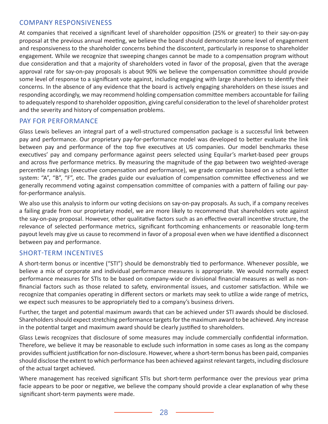#### COMPANY RESPONSIVENESS

At companies that received a significant level of shareholder opposition (25% or greater) to their say-on-pay proposal at the previous annual meeting, we believe the board should demonstrate some level of engagement and responsiveness to the shareholder concerns behind the discontent, particularly in response to shareholder engagement. While we recognize that sweeping changes cannot be made to a compensation program without due consideration and that a majority of shareholders voted in favor of the proposal, given that the average approval rate for say-on-pay proposals is about 90% we believe the compensation committee should provide some level of response to a significant vote against, including engaging with large shareholders to identify their concerns. In the absence of any evidence that the board is actively engaging shareholders on these issues and responding accordingly, we may recommend holding compensation committee members accountable for failing to adequately respond to shareholder opposition, giving careful consideration to the level of shareholder protest and the severity and history of compensation problems.

#### PAY FOR PERFORMANCE

Glass Lewis believes an integral part of a well-structured compensation package is a successful link between pay and performance. Our proprietary pay-for-performance model was developed to better evaluate the link between pay and performance of the top five executives at US companies. Our model benchmarks these executives' pay and company performance against peers selected using Equilar's market-based peer groups and across five performance metrics. By measuring the magnitude of the gap between two weighted-average percentile rankings (executive compensation and performance), we grade companies based on a school letter system: "A", "B", "F", etc. The grades guide our evaluation of compensation committee effectiveness and we generally recommend voting against compensation committee of companies with a pattern of failing our payfor-performance analysis.

We also use this analysis to inform our voting decisions on say-on-pay proposals. As such, if a company receives a failing grade from our proprietary model, we are more likely to recommend that shareholders vote against the say-on-pay proposal. However, other qualitative factors such as an effective overall incentive structure, the relevance of selected performance metrics, significant forthcoming enhancements or reasonable long-term payout levels may give us cause to recommend in favor of a proposal even when we have identified a disconnect between pay and performance.

#### SHORT-TERM INCENTIVES

A short-term bonus or incentive ("STI") should be demonstrably tied to performance. Whenever possible, we believe a mix of corporate and individual performance measures is appropriate. We would normally expect performance measures for STIs to be based on company-wide or divisional financial measures as well as nonfinancial factors such as those related to safety, environmental issues, and customer satisfaction. While we recognize that companies operating in different sectors or markets may seek to utilize a wide range of metrics, we expect such measures to be appropriately tied to a company's business drivers.

Further, the target and potential maximum awards that can be achieved under STI awards should be disclosed. Shareholders should expect stretching performance targets for the maximum award to be achieved. Any increase in the potential target and maximum award should be clearly justified to shareholders.

Glass Lewis recognizes that disclosure of some measures may include commercially confidential information. Therefore, we believe it may be reasonable to exclude such information in some cases as long as the company provides sufficient justification for non-disclosure. However, where a short-term bonus has been paid, companies should disclose the extent to which performance has been achieved against relevant targets, including disclosure of the actual target achieved.

Where management has received significant STIs but short-term performance over the previous year prima facie appears to be poor or negative, we believe the company should provide a clear explanation of why these significant short-term payments were made.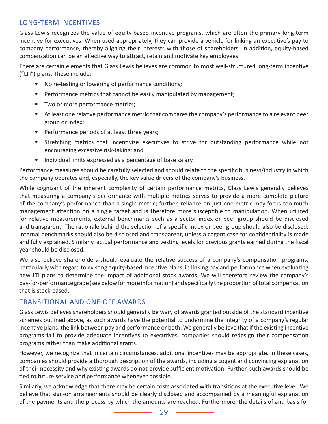#### LONG-TERM INCENTIVES

Glass Lewis recognizes the value of equity-based incentive programs, which are often the primary long-term incentive for executives. When used appropriately, they can provide a vehicle for linking an executive's pay to company performance, thereby aligning their interests with those of shareholders. In addition, equity-based compensation can be an effective way to attract, retain and motivate key employees.

There are certain elements that Glass Lewis believes are common to most well-structured long-term incentive ("LTI") plans. These include:

- No re-testing or lowering of performance conditions;
- Performance metrics that cannot be easily manipulated by management;
- Two or more performance metrics;
- At least one relative performance metric that compares the company's performance to a relevant peer group or index;
- Performance periods of at least three years;
- Stretching metrics that incentivize executives to strive for outstanding performance while not encouraging excessive risk-taking; and
- Individual limits expressed as a percentage of base salary.

Performance measures should be carefully selected and should relate to the specific business/industry in which the company operates and, especially, the key value drivers of the company's business.

While cognizant of the inherent complexity of certain performance metrics, Glass Lewis generally believes that measuring a company's performance with multiple metrics serves to provide a more complete picture of the company's performance than a single metric; further, reliance on just one metric may focus too much management attention on a single target and is therefore more susceptible to manipulation. When utilized for relative measurements, external benchmarks such as a sector index or peer group should be disclosed and transparent. The rationale behind the selection of a specific index or peer group should also be disclosed. Internal benchmarks should also be disclosed and transparent, unless a cogent case for confidentiality is made and fully explained. Similarly, actual performance and vesting levels for previous grants earned during the fiscal year should be disclosed.

We also believe shareholders should evaluate the relative success of a company's compensation programs, particularly with regard to existing equity-based incentive plans, in linking pay and performance when evaluating new LTI plans to determine the impact of additional stock awards. We will therefore review the company's pay-for-performance grade (see below for more information) and specifically the proportion of total compensation that is stock-based.

#### TRANSITIONAL AND ONE-OFF AWARDS

Glass Lewis believes shareholders should generally be wary of awards granted outside of the standard incentive schemes outlined above, as such awards have the potential to undermine the integrity of a company's regular incentive plans, the link between pay and performance or both. We generally believe that if the existing incentive programs fail to provide adequate incentives to executives, companies should redesign their compensation programs rather than make additional grants.

However, we recognize that in certain circumstances, additional incentives may be appropriate. In these cases, companies should provide a thorough description of the awards, including a cogent and convincing explanation of their necessity and why existing awards do not provide sufficient motivation. Further, such awards should be tied to future service and performance whenever possible.

Similarly, we acknowledge that there may be certain costs associated with transitions at the executive level. We believe that sign-on arrangements should be clearly disclosed and accompanied by a meaningful explanation of the payments and the process by which the amounts are reached. Furthermore, the details of and basis for

 $\overline{\phantom{a}}$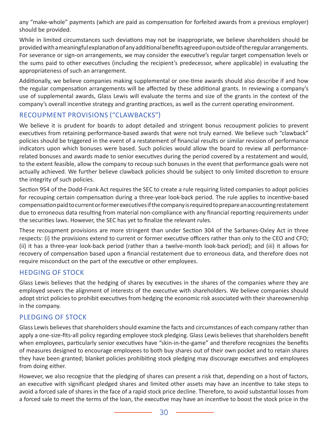any "make-whole" payments (which are paid as compensation for forfeited awards from a previous employer) should be provided.

While in limited circumstances such deviations may not be inappropriate, we believe shareholders should be provided with a meaningful explanation of any additional benefits agreed upon outside of the regular arrangements. For severance or sign-on arrangements, we may consider the executive's regular target compensation levels or the sums paid to other executives (including the recipient's predecessor, where applicable) in evaluating the appropriateness of such an arrangement.

Additionally, we believe companies making supplemental or one-time awards should also describe if and how the regular compensation arrangements will be affected by these additional grants. In reviewing a company's use of supplemental awards, Glass Lewis will evaluate the terms and size of the grants in the context of the company's overall incentive strategy and granting practices, as well as the current operating environment.

#### RECOUPMENT PROVISIONS ("CLAWBACKS")

We believe it is prudent for boards to adopt detailed and stringent bonus recoupment policies to prevent executives from retaining performance-based awards that were not truly earned. We believe such "clawback" policies should be triggered in the event of a restatement of financial results or similar revision of performance indicators upon which bonuses were based. Such policies would allow the board to review all performancerelated bonuses and awards made to senior executives during the period covered by a restatement and would, to the extent feasible, allow the company to recoup such bonuses in the event that performance goals were not actually achieved. We further believe clawback policies should be subject to only limited discretion to ensure the integrity of such policies.

Section 954 of the Dodd-Frank Act requires the SEC to create a rule requiring listed companies to adopt policies for recouping certain compensation during a three-year look-back period. The rule applies to incentive-based compensation paid to current or former executives if the company is required to prepare an accounting restatement due to erroneous data resulting from material non-compliance with any financial reporting requirements under the securities laws. However, the SEC has yet to finalize the relevant rules.

These recoupment provisions are more stringent than under Section 304 of the Sarbanes-Oxley Act in three respects: (i) the provisions extend to current or former executive officers rather than only to the CEO and CFO; (ii) it has a three-year look-back period (rather than a twelve-month look-back period); and (iii) it allows for recovery of compensation based upon a financial restatement due to erroneous data, and therefore does not require misconduct on the part of the executive or other employees.

#### HEDGING OF STOCK

Glass Lewis believes that the hedging of shares by executives in the shares of the companies where they are employed severs the alignment of interests of the executive with shareholders. We believe companies should adopt strict policies to prohibit executives from hedging the economic risk associated with their shareownership in the company.

# PLEDGING OF STOCK

Glass Lewis believes that shareholders should examine the facts and circumstances of each company rather than apply a one-size-fits-all policy regarding employee stock pledging. Glass Lewis believes that shareholders benefit when employees, particularly senior executives have "skin-in-the-game" and therefore recognizes the benefits of measures designed to encourage employees to both buy shares out of their own pocket and to retain shares they have been granted; blanket policies prohibiting stock pledging may discourage executives and employees from doing either.

However, we also recognize that the pledging of shares can present a risk that, depending on a host of factors, an executive with significant pledged shares and limited other assets may have an incentive to take steps to avoid a forced sale of shares in the face of a rapid stock price decline. Therefore, to avoid substantial losses from a forced sale to meet the terms of the loan, the executive may have an incentive to boost the stock price in the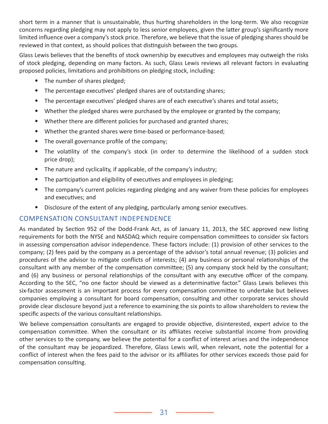short term in a manner that is unsustainable, thus hurting shareholders in the long-term. We also recognize concerns regarding pledging may not apply to less senior employees, given the latter group's significantly more limited influence over a company's stock price. Therefore, we believe that the issue of pledging shares should be reviewed in that context, as should polices that distinguish between the two groups.

Glass Lewis believes that the benefits of stock ownership by executives and employees may outweigh the risks of stock pledging, depending on many factors. As such, Glass Lewis reviews all relevant factors in evaluating proposed policies, limitations and prohibitions on pledging stock, including:

- The number of shares pledged;
- The percentage executives' pledged shares are of outstanding shares;
- The percentage executives' pledged shares are of each executive's shares and total assets;
- Whether the pledged shares were purchased by the employee or granted by the company;
- Whether there are different policies for purchased and granted shares;
- Whether the granted shares were time-based or performance-based;
- The overall governance profile of the company;
- The volatility of the company's stock (in order to determine the likelihood of a sudden stock price drop);
- The nature and cyclicality, if applicable, of the company's industry;
- The participation and eligibility of executives and employees in pledging;
- The company's current policies regarding pledging and any waiver from these policies for employees and executives; and
- Disclosure of the extent of any pledging, particularly among senior executives.

# COMPENSATION CONSULTANT INDEPENDENCE

As mandated by Section 952 of the Dodd-Frank Act, as of January 11, 2013, the SEC approved new listing requirements for both the NYSE and NASDAQ which require compensation committees to consider six factors in assessing compensation advisor independence. These factors include: (1) provision of other services to the company; (2) fees paid by the company as a percentage of the advisor's total annual revenue; (3) policies and procedures of the advisor to mitigate conflicts of interests; (4) any business or personal relationships of the consultant with any member of the compensation committee; (5) any company stock held by the consultant; and (6) any business or personal relationships of the consultant with any executive officer of the company. According to the SEC, "no one factor should be viewed as a determinative factor." Glass Lewis believes this six-factor assessment is an important process for every compensation committee to undertake but believes companies employing a consultant for board compensation, consulting and other corporate services should provide clear disclosure beyond just a reference to examining the six points to allow shareholders to review the specific aspects of the various consultant relationships.

We believe compensation consultants are engaged to provide objective, disinterested, expert advice to the compensation committee. When the consultant or its affiliates receive substantial income from providing other services to the company, we believe the potential for a conflict of interest arises and the independence of the consultant may be jeopardized. Therefore, Glass Lewis will, when relevant, note the potential for a conflict of interest when the fees paid to the advisor or its affiliates for other services exceeds those paid for compensation consulting.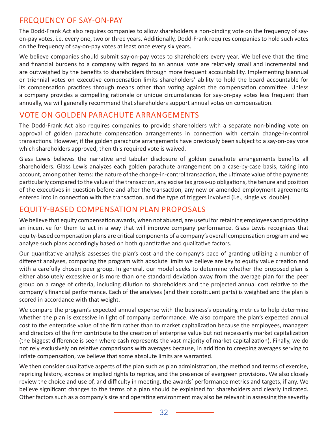# FREQUENCY OF SAY-ON-PAY

The Dodd-Frank Act also requires companies to allow shareholders a non-binding vote on the frequency of sayon-pay votes, i.e. every one, two or three years. Additionally, Dodd-Frank requires companies to hold such votes on the frequency of say-on-pay votes at least once every six years.

We believe companies should submit say-on-pay votes to shareholders every year. We believe that the time and financial burdens to a company with regard to an annual vote are relatively small and incremental and are outweighed by the benefits to shareholders through more frequent accountability. Implementing biannual or triennial votes on executive compensation limits shareholders' ability to hold the board accountable for its compensation practices through means other than voting against the compensation committee. Unless a company provides a compelling rationale or unique circumstances for say-on-pay votes less frequent than annually, we will generally recommend that shareholders support annual votes on compensation.

### VOTE ON GOLDEN PARACHUTE ARRANGEMENTS

The Dodd-Frank Act also requires companies to provide shareholders with a separate non-binding vote on approval of golden parachute compensation arrangements in connection with certain change-in-control transactions. However, if the golden parachute arrangements have previously been subject to a say-on-pay vote which shareholders approved, then this required vote is waived.

Glass Lewis believes the narrative and tabular disclosure of golden parachute arrangements benefits all shareholders. Glass Lewis analyzes each golden parachute arrangement on a case-by-case basis, taking into account, among other items: the nature of the change-in-control transaction, the ultimate value of the payments particularly compared to the value of the transaction, any excise tax gross-up obligations, the tenure and position of the executives in question before and after the transaction, any new or amended employment agreements entered into in connection with the transaction, and the type of triggers involved (i.e., single vs. double).

# EQUITY-BASED COMPENSATION PLAN PROPOSALS

We believe that equity compensation awards, when not abused, are useful for retaining employees and providing an incentive for them to act in a way that will improve company performance. Glass Lewis recognizes that equity-based compensation plans are critical components of a company's overall compensation program and we analyze such plans accordingly based on both quantitative and qualitative factors.

Our quantitative analysis assesses the plan's cost and the company's pace of granting utilizing a number of different analyses, comparing the program with absolute limits we believe are key to equity value creation and with a carefully chosen peer group. In general, our model seeks to determine whether the proposed plan is either absolutely excessive or is more than one standard deviation away from the average plan for the peer group on a range of criteria, including dilution to shareholders and the projected annual cost relative to the company's financial performance. Each of the analyses (and their constituent parts) is weighted and the plan is scored in accordance with that weight.

We compare the program's expected annual expense with the business's operating metrics to help determine whether the plan is excessive in light of company performance. We also compare the plan's expected annual cost to the enterprise value of the firm rather than to market capitalization because the employees, managers and directors of the firm contribute to the creation of enterprise value but not necessarily market capitalization (the biggest difference is seen where cash represents the vast majority of market capitalization). Finally, we do not rely exclusively on relative comparisons with averages because, in addition to creeping averages serving to inflate compensation, we believe that some absolute limits are warranted.

We then consider qualitative aspects of the plan such as plan administration, the method and terms of exercise, repricing history, express or implied rights to reprice, and the presence of evergreen provisions. We also closely review the choice and use of, and difficulty in meeting, the awards' performance metrics and targets, if any. We believe significant changes to the terms of a plan should be explained for shareholders and clearly indicated. Other factors such as a company's size and operating environment may also be relevant in assessing the severity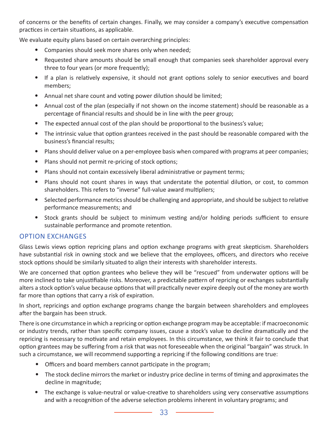of concerns or the benefits of certain changes. Finally, we may consider a company's executive compensation practices in certain situations, as applicable.

We evaluate equity plans based on certain overarching principles:

- Companies should seek more shares only when needed;
- Requested share amounts should be small enough that companies seek shareholder approval every three to four years (or more frequently);
- If a plan is relatively expensive, it should not grant options solely to senior executives and board members;
- Annual net share count and voting power dilution should be limited;
- Annual cost of the plan (especially if not shown on the income statement) should be reasonable as a percentage of financial results and should be in line with the peer group;
- The expected annual cost of the plan should be proportional to the business's value;
- The intrinsic value that option grantees received in the past should be reasonable compared with the business's financial results;
- Plans should deliver value on a per-employee basis when compared with programs at peer companies;
- Plans should not permit re-pricing of stock options;
- Plans should not contain excessively liberal administrative or payment terms;
- Plans should not count shares in ways that understate the potential dilution, or cost, to common shareholders. This refers to "inverse" full-value award multipliers;
- Selected performance metrics should be challenging and appropriate, and should be subject to relative performance measurements; and
- Stock grants should be subject to minimum vesting and/or holding periods sufficient to ensure sustainable performance and promote retention.

#### OPTION EXCHANGES

Glass Lewis views option repricing plans and option exchange programs with great skepticism. Shareholders have substantial risk in owning stock and we believe that the employees, officers, and directors who receive stock options should be similarly situated to align their interests with shareholder interests.

We are concerned that option grantees who believe they will be "rescued" from underwater options will be more inclined to take unjustifiable risks. Moreover, a predictable pattern of repricing or exchanges substantially alters a stock option's value because options that will practically never expire deeply out of the money are worth far more than options that carry a risk of expiration.

In short, repricings and option exchange programs change the bargain between shareholders and employees after the bargain has been struck.

There is one circumstance in which a repricing or option exchange program may be acceptable: if macroeconomic or industry trends, rather than specific company issues, cause a stock's value to decline dramatically and the repricing is necessary to motivate and retain employees. In this circumstance, we think it fair to conclude that option grantees may be suffering from a risk that was not foreseeable when the original "bargain" was struck. In such a circumstance, we will recommend supporting a repricing if the following conditions are true:

- Officers and board members cannot participate in the program;
- The stock decline mirrors the market or industry price decline in terms of timing and approximates the decline in magnitude;
- The exchange is value-neutral or value-creative to shareholders using very conservative assumptions and with a recognition of the adverse selection problems inherent in voluntary programs; and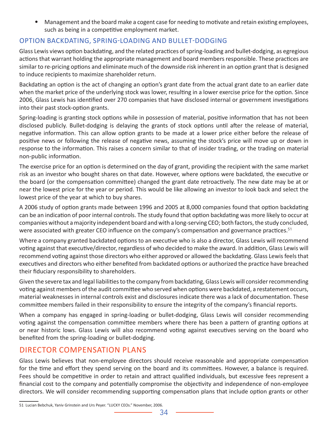• Management and the board make a cogent case for needing to motivate and retain existing employees, such as being in a competitive employment market.

# OPTION BACKDATING, SPRING-LOADING AND BULLET-DODGING

Glass Lewis views option backdating, and the related practices of spring-loading and bullet-dodging, as egregious actions that warrant holding the appropriate management and board members responsible. These practices are similar to re-pricing options and eliminate much of the downside risk inherent in an option grant that is designed to induce recipients to maximize shareholder return.

Backdating an option is the act of changing an option's grant date from the actual grant date to an earlier date when the market price of the underlying stock was lower, resulting in a lower exercise price for the option. Since 2006, Glass Lewis has identified over 270 companies that have disclosed internal or government investigations into their past stock-option grants.

Spring-loading is granting stock options while in possession of material, positive information that has not been disclosed publicly. Bullet-dodging is delaying the grants of stock options until after the release of material, negative information. This can allow option grants to be made at a lower price either before the release of positive news or following the release of negative news, assuming the stock's price will move up or down in response to the information. This raises a concern similar to that of insider trading, or the trading on material non-public information.

The exercise price for an option is determined on the day of grant, providing the recipient with the same market risk as an investor who bought shares on that date. However, where options were backdated, the executive or the board (or the compensation committee) changed the grant date retroactively. The new date may be at or near the lowest price for the year or period. This would be like allowing an investor to look back and select the lowest price of the year at which to buy shares.

A 2006 study of option grants made between 1996 and 2005 at 8,000 companies found that option backdating can be an indication of poor internal controls. The study found that option backdating was more likely to occur at companies without a majority independent board and with a long-serving CEO; both factors, the study concluded, were associated with greater CEO influence on the company's compensation and governance practices.<sup>51</sup>

Where a company granted backdated options to an executive who is also a director, Glass Lewis will recommend voting against that executive/director, regardless of who decided to make the award. In addition, Glass Lewis will recommend voting against those directors who either approved or allowed the backdating. Glass Lewis feels that executives and directors who either benefited from backdated options or authorized the practice have breached their fiduciary responsibility to shareholders.

Given the severe tax and legal liabilities to the company from backdating, Glass Lewis will consider recommending voting against members of the audit committee who served when options were backdated, a restatement occurs, material weaknesses in internal controls exist and disclosures indicate there was a lack of documentation. These committee members failed in their responsibility to ensure the integrity of the company's financial reports.

When a company has engaged in spring-loading or bullet-dodging, Glass Lewis will consider recommending voting against the compensation committee members where there has been a pattern of granting options at or near historic lows. Glass Lewis will also recommend voting against executives serving on the board who benefited from the spring-loading or bullet-dodging.

# DIRECTOR COMPENSATION PLANS

Glass Lewis believes that non-employee directors should receive reasonable and appropriate compensation for the time and effort they spend serving on the board and its committees. However, a balance is required. Fees should be competitive in order to retain and attract qualified individuals, but excessive fees represent a financial cost to the company and potentially compromise the objectivity and independence of non-employee directors. We will consider recommending supporting compensation plans that include option grants or other

<sup>51</sup> Lucian Bebchuk, Yaniv Grinstein and Urs Peyer. "LUCKY CEOs." November, 2006.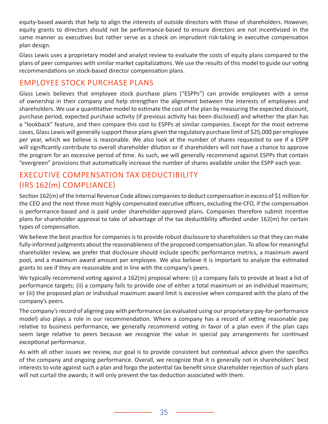equity-based awards that help to align the interests of outside directors with those of shareholders. However, equity grants to directors should not be performance-based to ensure directors are not incentivized in the same manner as executives but rather serve as a check on imprudent risk-taking in executive compensation plan design.

Glass Lewis uses a proprietary model and analyst review to evaluate the costs of equity plans compared to the plans of peer companies with similar market capitalizations. We use the results of this model to guide our voting recommendations on stock-based director compensation plans.

# EMPLOYEE STOCK PURCHASE PLANS

Glass Lewis believes that employee stock purchase plans ("ESPPs") can provide employees with a sense of ownership in their company and help strengthen the alignment between the interests of employees and shareholders. We use a quantitative model to estimate the cost of the plan by measuring the expected discount, purchase period, expected purchase activity (if previous activity has been disclosed) and whether the plan has a "lookback" feature, and then compare this cost to ESPPs at similar companies. Except for the most extreme cases, Glass Lewis will generally support these plans given the regulatory purchase limit of \$25,000 per employee per year, which we believe is reasonable. We also look at the number of shares requested to see if a ESPP will significantly contribute to overall shareholder dilution or if shareholders will not have a chance to approve the program for an excessive period of time. As such, we will generally recommend against ESPPs that contain "evergreen" provisions that automatically increase the number of shares available under the ESPP each year.

# EXECUTIVE COMPENSATION TAX DEDUCTIBILITY (IRS 162(m) COMPLIANCE)

Section 162(m) of the Internal Revenue Code allows companies to deduct compensation in excess of \$1 million for the CEO and the next three most highly compensated executive officers, excluding the CFO, if the compensation is performance-based and is paid under shareholder-approved plans. Companies therefore submit incentive plans for shareholder approval to take of advantage of the tax deductibility afforded under 162(m) for certain types of compensation.

We believe the best practice for companies is to provide robust disclosure to shareholders so that they can make fully-informed judgments about the reasonableness of the proposed compensation plan. To allow for meaningful shareholder review, we prefer that disclosure should include specific performance metrics, a maximum award pool, and a maximum award amount per employee. We also believe it is important to analyze the estimated grants to see if they are reasonable and in line with the company's peers.

We typically recommend voting against a 162(m) proposal where: (i) a company fails to provide at least a list of performance targets; (ii) a company fails to provide one of either a total maximum or an individual maximum; or (iii) the proposed plan or individual maximum award limit is excessive when compared with the plans of the company's peers.

The company's record of aligning pay with performance (as evaluated using our proprietary pay-for-performance model) also plays a role in our recommendation. Where a company has a record of setting reasonable pay relative to business performance, we generally recommend voting in favor of a plan even if the plan caps seem large relative to peers because we recognize the value in special pay arrangements for continued exceptional performance.

As with all other issues we review, our goal is to provide consistent but contextual advice given the specifics of the company and ongoing performance. Overall, we recognize that it is generally not in shareholders' best interests to vote against such a plan and forgo the potential tax benefit since shareholder rejection of such plans will not curtail the awards; it will only prevent the tax deduction associated with them.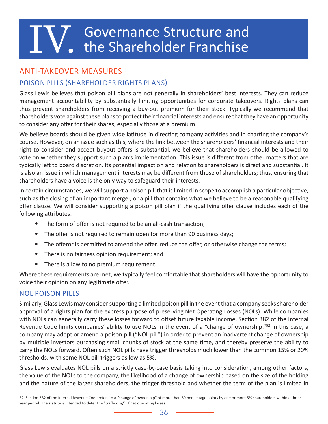# **IV.** Governance Structure and the Shareholder Franchise the Shareholder Franchise

# ANTI-TAKEOVER MEASURES

# POISON PILLS (SHAREHOLDER RIGHTS PLANS)

Glass Lewis believes that poison pill plans are not generally in shareholders' best interests. They can reduce management accountability by substantially limiting opportunities for corporate takeovers. Rights plans can thus prevent shareholders from receiving a buy-out premium for their stock. Typically we recommend that shareholders vote against these plans to protect their financial interests and ensure that they have an opportunity to consider any offer for their shares, especially those at a premium.

We believe boards should be given wide latitude in directing company activities and in charting the company's course. However, on an issue such as this, where the link between the shareholders' financial interests and their right to consider and accept buyout offers is substantial, we believe that shareholders should be allowed to vote on whether they support such a plan's implementation. This issue is different from other matters that are typically left to board discretion. Its potential impact on and relation to shareholders is direct and substantial. It is also an issue in which management interests may be different from those of shareholders; thus, ensuring that shareholders have a voice is the only way to safeguard their interests.

In certain circumstances, we will support a poison pill that is limited in scope to accomplish a particular objective, such as the closing of an important merger, or a pill that contains what we believe to be a reasonable qualifying offer clause. We will consider supporting a poison pill plan if the qualifying offer clause includes each of the following attributes:

- The form of offer is not required to be an all-cash transaction;
- The offer is not required to remain open for more than 90 business days;
- The offeror is permitted to amend the offer, reduce the offer, or otherwise change the terms;
- There is no fairness opinion requirement; and
- There is a low to no premium requirement.

Where these requirements are met, we typically feel comfortable that shareholders will have the opportunity to voice their opinion on any legitimate offer.

#### NOL POISON PILLS

Similarly, Glass Lewis may consider supporting a limited poison pill in the event that a company seeks shareholder approval of a rights plan for the express purpose of preserving Net Operating Losses (NOLs). While companies with NOLs can generally carry these losses forward to offset future taxable income, Section 382 of the Internal Revenue Code limits companies' ability to use NOLs in the event of a "change of ownership."<sup>52</sup> In this case, a company may adopt or amend a poison pill ("NOL pill") in order to prevent an inadvertent change of ownership by multiple investors purchasing small chunks of stock at the same time, and thereby preserve the ability to carry the NOLs forward. Often such NOL pills have trigger thresholds much lower than the common 15% or 20% thresholds, with some NOL pill triggers as low as 5%.

Glass Lewis evaluates NOL pills on a strictly case-by-case basis taking into consideration, among other factors, the value of the NOLs to the company, the likelihood of a change of ownership based on the size of the holding and the nature of the larger shareholders, the trigger threshold and whether the term of the plan is limited in

<sup>52</sup> Section 382 of the Internal Revenue Code refers to a "change of ownership" of more than 50 percentage points by one or more 5% shareholders within a threeyear period. The statute is intended to deter the "trafficking" of net operating losses.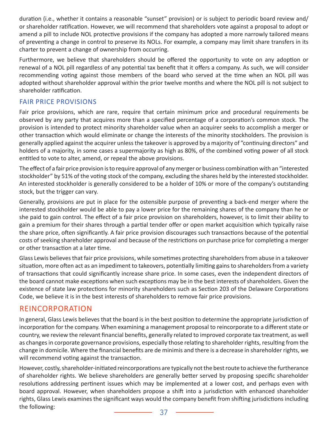duration (i.e., whether it contains a reasonable "sunset" provision) or is subject to periodic board review and/ or shareholder ratification. However, we will recommend that shareholders vote against a proposal to adopt or amend a pill to include NOL protective provisions if the company has adopted a more narrowly tailored means of preventing a change in control to preserve its NOLs. For example, a company may limit share transfers in its charter to prevent a change of ownership from occurring.

Furthermore, we believe that shareholders should be offered the opportunity to vote on any adoption or renewal of a NOL pill regardless of any potential tax benefit that it offers a company. As such, we will consider recommending voting against those members of the board who served at the time when an NOL pill was adopted without shareholder approval within the prior twelve months and where the NOL pill is not subject to shareholder ratification.

#### FAIR PRICE PROVISIONS

Fair price provisions, which are rare, require that certain minimum price and procedural requirements be observed by any party that acquires more than a specified percentage of a corporation's common stock. The provision is intended to protect minority shareholder value when an acquirer seeks to accomplish a merger or other transaction which would eliminate or change the interests of the minority stockholders. The provision is generally applied against the acquirer unless the takeover is approved by a majority of "continuing directors" and holders of a majority, in some cases a supermajority as high as 80%, of the combined voting power of all stock entitled to vote to alter, amend, or repeal the above provisions.

The effect of a fair price provision is to require approval of any merger or business combination with an "interested stockholder" by 51% of the voting stock of the company, excluding the shares held by the interested stockholder. An interested stockholder is generally considered to be a holder of 10% or more of the company's outstanding stock, but the trigger can vary.

Generally, provisions are put in place for the ostensible purpose of preventing a back-end merger where the interested stockholder would be able to pay a lower price for the remaining shares of the company than he or she paid to gain control. The effect of a fair price provision on shareholders, however, is to limit their ability to gain a premium for their shares through a partial tender offer or open market acquisition which typically raise the share price, often significantly. A fair price provision discourages such transactions because of the potential costs of seeking shareholder approval and because of the restrictions on purchase price for completing a merger or other transaction at a later time.

Glass Lewis believes that fair price provisions, while sometimes protecting shareholders from abuse in a takeover situation, more often act as an impediment to takeovers, potentially limiting gains to shareholders from a variety of transactions that could significantly increase share price. In some cases, even the independent directors of the board cannot make exceptions when such exceptions may be in the best interests of shareholders. Given the existence of state law protections for minority shareholders such as Section 203 of the Delaware Corporations Code, we believe it is in the best interests of shareholders to remove fair price provisions.

# REINCORPORATION

In general, Glass Lewis believes that the board is in the best position to determine the appropriate jurisdiction of incorporation for the company. When examining a management proposal to reincorporate to a different state or country, we review the relevant financial benefits, generally related to improved corporate tax treatment, as well as changes in corporate governance provisions, especially those relating to shareholder rights, resulting from the change in domicile. Where the financial benefits are de minimis and there is a decrease in shareholder rights, we will recommend voting against the transaction.

However, costly, shareholder-initiated reincorporations are typically not the best route to achieve the furtherance of shareholder rights. We believe shareholders are generally better served by proposing specific shareholder resolutions addressing pertinent issues which may be implemented at a lower cost, and perhaps even with board approval. However, when shareholders propose a shift into a jurisdiction with enhanced shareholder rights, Glass Lewis examines the significant ways would the company benefit from shifting jurisdictions including the following: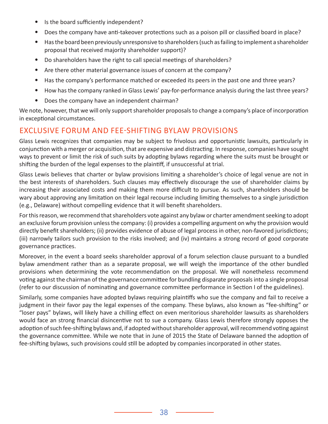- Is the board sufficiently independent?
- Does the company have anti-takeover protections such as a poison pill or classified board in place?
- Has the board been previously unresponsive to shareholders (such as failing to implement a shareholder proposal that received majority shareholder support)?
- Do shareholders have the right to call special meetings of shareholders?
- Are there other material governance issues of concern at the company?
- Has the company's performance matched or exceeded its peers in the past one and three years?
- How has the company ranked in Glass Lewis' pay-for-performance analysis during the last three years?
- Does the company have an independent chairman?

We note, however, that we will only support shareholder proposals to change a company's place of incorporation in exceptional circumstances.

# EXCLUSIVE FORUM AND FEE-SHIFTING BYLAW PROVISIONS

Glass Lewis recognizes that companies may be subject to frivolous and opportunistic lawsuits, particularly in conjunction with a merger or acquisition, that are expensive and distracting. In response, companies have sought ways to prevent or limit the risk of such suits by adopting bylaws regarding where the suits must be brought or shifting the burden of the legal expenses to the plaintiff, if unsuccessful at trial.

Glass Lewis believes that charter or bylaw provisions limiting a shareholder's choice of legal venue are not in the best interests of shareholders. Such clauses may effectively discourage the use of shareholder claims by increasing their associated costs and making them more difficult to pursue. As such, shareholders should be wary about approving any limitation on their legal recourse including limiting themselves to a single jurisdiction (e.g., Delaware) without compelling evidence that it will benefit shareholders.

For this reason, we recommend that shareholders vote against any bylaw or charter amendment seeking to adopt an exclusive forum provision unless the company: (i) provides a compelling argument on why the provision would directly benefit shareholders; (ii) provides evidence of abuse of legal process in other, non-favored jurisdictions; (iii) narrowly tailors such provision to the risks involved; and (iv) maintains a strong record of good corporate governance practices.

Moreover, in the event a board seeks shareholder approval of a forum selection clause pursuant to a bundled bylaw amendment rather than as a separate proposal, we will weigh the importance of the other bundled provisions when determining the vote recommendation on the proposal. We will nonetheless recommend voting against the chairman of the governance committee for bundling disparate proposals into a single proposal (refer to our discussion of nominating and governance committee performance in Section I of the guidelines).

Similarly, some companies have adopted bylaws requiring plaintiffs who sue the company and fail to receive a judgment in their favor pay the legal expenses of the company. These bylaws, also known as "fee-shifting" or "loser pays" bylaws, will likely have a chilling effect on even meritorious shareholder lawsuits as shareholders would face an strong financial disincentive not to sue a company. Glass Lewis therefore strongly opposes the adoption of such fee-shifting bylaws and, if adopted without shareholder approval, will recommend voting against the governance committee. While we note that in June of 2015 the State of Delaware banned the adoption of fee-shifting bylaws, such provisions could still be adopted by companies incorporated in other states.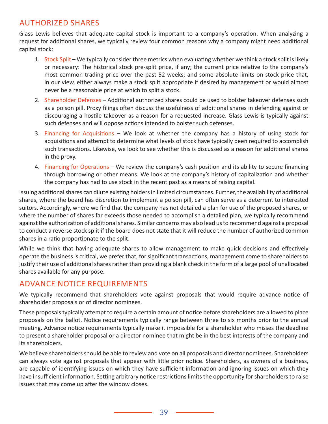# AUTHORIZED SHARES

Glass Lewis believes that adequate capital stock is important to a company's operation. When analyzing a request for additional shares, we typically review four common reasons why a company might need additional capital stock:

- 1. Stock Split We typically consider three metrics when evaluating whether we think a stock split is likely or necessary: The historical stock pre-split price, if any; the current price relative to the company's most common trading price over the past 52 weeks; and some absolute limits on stock price that, in our view, either always make a stock split appropriate if desired by management or would almost never be a reasonable price at which to split a stock.
- 2. Shareholder Defenses Additional authorized shares could be used to bolster takeover defenses such as a poison pill. Proxy filings often discuss the usefulness of additional shares in defending against or discouraging a hostile takeover as a reason for a requested increase. Glass Lewis is typically against such defenses and will oppose actions intended to bolster such defenses.
- 3. Financing for Acquisitions We look at whether the company has a history of using stock for acquisitions and attempt to determine what levels of stock have typically been required to accomplish such transactions. Likewise, we look to see whether this is discussed as a reason for additional shares in the proxy.
- 4. Financing for Operations We review the company's cash position and its ability to secure financing through borrowing or other means. We look at the company's history of capitalization and whether the company has had to use stock in the recent past as a means of raising capital.

Issuing additional shares can dilute existing holders in limited circumstances. Further, the availability of additional shares, where the board has discretion to implement a poison pill, can often serve as a deterrent to interested suitors. Accordingly, where we find that the company has not detailed a plan for use of the proposed shares, or where the number of shares far exceeds those needed to accomplish a detailed plan, we typically recommend against the authorization of additional shares. Similar concerns may also lead us to recommend against a proposal to conduct a reverse stock split if the board does not state that it will reduce the number of authorized common shares in a ratio proportionate to the split.

While we think that having adequate shares to allow management to make quick decisions and effectively operate the business is critical, we prefer that, for significant transactions, management come to shareholders to justify their use of additional shares rather than providing a blank check in the form of a large pool of unallocated shares available for any purpose.

# ADVANCE NOTICE REQUIREMENTS

We typically recommend that shareholders vote against proposals that would require advance notice of shareholder proposals or of director nominees.

These proposals typically attempt to require a certain amount of notice before shareholders are allowed to place proposals on the ballot. Notice requirements typically range between three to six months prior to the annual meeting. Advance notice requirements typically make it impossible for a shareholder who misses the deadline to present a shareholder proposal or a director nominee that might be in the best interests of the company and its shareholders.

We believe shareholders should be able to review and vote on all proposals and director nominees. Shareholders can always vote against proposals that appear with little prior notice. Shareholders, as owners of a business, are capable of identifying issues on which they have sufficient information and ignoring issues on which they have insufficient information. Setting arbitrary notice restrictions limits the opportunity for shareholders to raise issues that may come up after the window closes.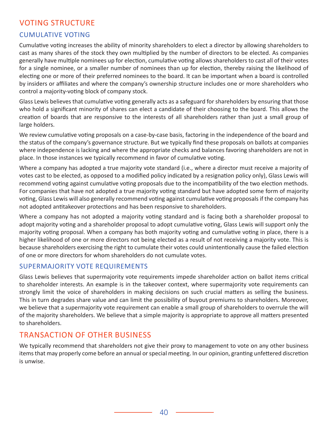# VOTING STRUCTURE

### CUMULATIVE VOTING

Cumulative voting increases the ability of minority shareholders to elect a director by allowing shareholders to cast as many shares of the stock they own multiplied by the number of directors to be elected. As companies generally have multiple nominees up for election, cumulative voting allows shareholders to cast all of their votes for a single nominee, or a smaller number of nominees than up for election, thereby raising the likelihood of electing one or more of their preferred nominees to the board. It can be important when a board is controlled by insiders or affiliates and where the company's ownership structure includes one or more shareholders who control a majority-voting block of company stock.

Glass Lewis believes that cumulative voting generally acts as a safeguard for shareholders by ensuring that those who hold a significant minority of shares can elect a candidate of their choosing to the board. This allows the creation of boards that are responsive to the interests of all shareholders rather than just a small group of large holders.

We review cumulative voting proposals on a case-by-case basis, factoring in the independence of the board and the status of the company's governance structure. But we typically find these proposals on ballots at companies where independence is lacking and where the appropriate checks and balances favoring shareholders are not in place. In those instances we typically recommend in favor of cumulative voting.

Where a company has adopted a true majority vote standard (i.e., where a director must receive a majority of votes cast to be elected, as opposed to a modified policy indicated by a resignation policy only), Glass Lewis will recommend voting against cumulative voting proposals due to the incompatibility of the two election methods. For companies that have not adopted a true majority voting standard but have adopted some form of majority voting, Glass Lewis will also generally recommend voting against cumulative voting proposals if the company has not adopted antitakeover protections and has been responsive to shareholders.

Where a company has not adopted a majority voting standard and is facing both a shareholder proposal to adopt majority voting and a shareholder proposal to adopt cumulative voting, Glass Lewis will support only the majority voting proposal. When a company has both majority voting and cumulative voting in place, there is a higher likelihood of one or more directors not being elected as a result of not receiving a majority vote. This is because shareholders exercising the right to cumulate their votes could unintentionally cause the failed election of one or more directors for whom shareholders do not cumulate votes.

#### SUPERMAJORITY VOTE REQUIREMENTS

Glass Lewis believes that supermajority vote requirements impede shareholder action on ballot items critical to shareholder interests. An example is in the takeover context, where supermajority vote requirements can strongly limit the voice of shareholders in making decisions on such crucial matters as selling the business. This in turn degrades share value and can limit the possibility of buyout premiums to shareholders. Moreover, we believe that a supermajority vote requirement can enable a small group of shareholders to overrule the will of the majority shareholders. We believe that a simple majority is appropriate to approve all matters presented to shareholders.

# TRANSACTION OF OTHER BUSINESS

We typically recommend that shareholders not give their proxy to management to vote on any other business items that may properly come before an annual or special meeting. In our opinion, granting unfettered discretion is unwise.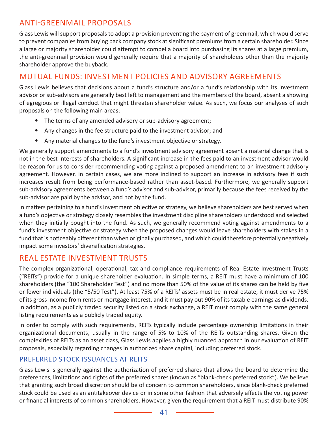# ANTI-GREENMAIL PROPOSALS

Glass Lewis will support proposals to adopt a provision preventing the payment of greenmail, which would serve to prevent companies from buying back company stock at significant premiums from a certain shareholder. Since a large or majority shareholder could attempt to compel a board into purchasing its shares at a large premium, the anti-greenmail provision would generally require that a majority of shareholders other than the majority shareholder approve the buyback.

# MUTUAL FUNDS: INVESTMENT POLICIES AND ADVISORY AGREEMENTS

Glass Lewis believes that decisions about a fund's structure and/or a fund's relationship with its investment advisor or sub-advisors are generally best left to management and the members of the board, absent a showing of egregious or illegal conduct that might threaten shareholder value. As such, we focus our analyses of such proposals on the following main areas:

- The terms of any amended advisory or sub-advisory agreement;
- Any changes in the fee structure paid to the investment advisor; and
- Any material changes to the fund's investment objective or strategy.

We generally support amendments to a fund's investment advisory agreement absent a material change that is not in the best interests of shareholders. A significant increase in the fees paid to an investment advisor would be reason for us to consider recommending voting against a proposed amendment to an investment advisory agreement. However, in certain cases, we are more inclined to support an increase in advisory fees if such increases result from being performance-based rather than asset-based. Furthermore, we generally support sub-advisory agreements between a fund's advisor and sub-advisor, primarily because the fees received by the sub-advisor are paid by the advisor, and not by the fund.

In matters pertaining to a fund's investment objective or strategy, we believe shareholders are best served when a fund's objective or strategy closely resembles the investment discipline shareholders understood and selected when they initially bought into the fund. As such, we generally recommend voting against amendments to a fund's investment objective or strategy when the proposed changes would leave shareholders with stakes in a fund that is noticeably different than when originally purchased, and which could therefore potentially negatively impact some investors' diversification strategies.

# REAL ESTATE INVESTMENT TRUSTS

The complex organizational, operational, tax and compliance requirements of Real Estate Investment Trusts ("REITs") provide for a unique shareholder evaluation. In simple terms, a REIT must have a minimum of 100 shareholders (the "100 Shareholder Test") and no more than 50% of the value of its shares can be held by five or fewer individuals (the "5/50 Test"). At least 75% of a REITs' assets must be in real estate, it must derive 75% of its gross income from rents or mortgage interest, and it must pay out 90% of its taxable earnings as dividends. In addition, as a publicly traded security listed on a stock exchange, a REIT must comply with the same general listing requirements as a publicly traded equity.

In order to comply with such requirements, REITs typically include percentage ownership limitations in their organizational documents, usually in the range of 5% to 10% of the REITs outstanding shares. Given the complexities of REITs as an asset class, Glass Lewis applies a highly nuanced approach in our evaluation of REIT proposals, especially regarding changes in authorized share capital, including preferred stock.

#### PREFERRED STOCK ISSUANCES AT REITS

Glass Lewis is generally against the authorization of preferred shares that allows the board to determine the preferences, limitations and rights of the preferred shares (known as "blank-check preferred stock"). We believe that granting such broad discretion should be of concern to common shareholders, since blank-check preferred stock could be used as an antitakeover device or in some other fashion that adversely affects the voting power or financial interests of common shareholders. However, given the requirement that a REIT must distribute 90%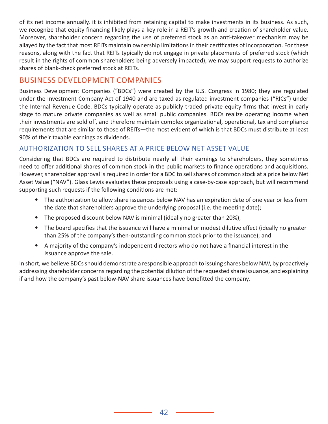of its net income annually, it is inhibited from retaining capital to make investments in its business. As such, we recognize that equity financing likely plays a key role in a REIT's growth and creation of shareholder value. Moreover, shareholder concern regarding the use of preferred stock as an anti-takeover mechanism may be allayed by the fact that most REITs maintain ownership limitations in their certificates of incorporation. For these reasons, along with the fact that REITs typically do not engage in private placements of preferred stock (which result in the rights of common shareholders being adversely impacted), we may support requests to authorize shares of blank-check preferred stock at REITs.

# BUSINESS DEVELOPMENT COMPANIES

Business Development Companies ("BDCs") were created by the U.S. Congress in 1980; they are regulated under the Investment Company Act of 1940 and are taxed as regulated investment companies ("RICs") under the Internal Revenue Code. BDCs typically operate as publicly traded private equity firms that invest in early stage to mature private companies as well as small public companies. BDCs realize operating income when their investments are sold off, and therefore maintain complex organizational, operational, tax and compliance requirements that are similar to those of REITs—the most evident of which is that BDCs must distribute at least 90% of their taxable earnings as dividends.

# AUTHORIZATION TO SELL SHARES AT A PRICE BELOW NET ASSET VALUE

Considering that BDCs are required to distribute nearly all their earnings to shareholders, they sometimes need to offer additional shares of common stock in the public markets to finance operations and acquisitions. However, shareholder approval is required in order for a BDC to sell shares of common stock at a price below Net Asset Value ("NAV"). Glass Lewis evaluates these proposals using a case-by-case approach, but will recommend supporting such requests if the following conditions are met:

- The authorization to allow share issuances below NAV has an expiration date of one year or less from the date that shareholders approve the underlying proposal (i.e. the meeting date);
- The proposed discount below NAV is minimal (ideally no greater than 20%);
- The board specifies that the issuance will have a minimal or modest dilutive effect (ideally no greater than 25% of the company's then-outstanding common stock prior to the issuance); and
- A majority of the company's independent directors who do not have a financial interest in the issuance approve the sale.

In short, we believe BDCs should demonstrate a responsible approach to issuing shares below NAV, by proactively addressing shareholder concerns regarding the potential dilution of the requested share issuance, and explaining if and how the company's past below-NAV share issuances have benefitted the company.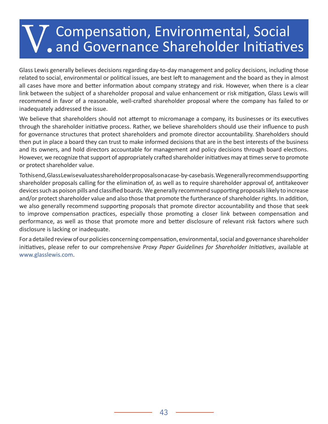# V. Compensation, Environmental, Social and Governance Shareholder Initiatives

Glass Lewis generally believes decisions regarding day-to-day management and policy decisions, including those related to social, environmental or political issues, are best left to management and the board as they in almost all cases have more and better information about company strategy and risk. However, when there is a clear link between the subject of a shareholder proposal and value enhancement or risk mitigation, Glass Lewis will recommend in favor of a reasonable, well-crafted shareholder proposal where the company has failed to or inadequately addressed the issue.

We believe that shareholders should not attempt to micromanage a company, its businesses or its executives through the shareholder initiative process. Rather, we believe shareholders should use their influence to push for governance structures that protect shareholders and promote director accountability. Shareholders should then put in place a board they can trust to make informed decisions that are in the best interests of the business and its owners, and hold directors accountable for management and policy decisions through board elections. However, we recognize that support of appropriately crafted shareholder initiatives may at times serve to promote or protect shareholder value.

To this end, Glass Lewis evaluates shareholder proposals on a case-by-case basis. We generally recommend supporting shareholder proposals calling for the elimination of, as well as to require shareholder approval of, antitakeover devices such as poison pills and classified boards. We generally recommend supporting proposals likely to increase and/or protect shareholder value and also those that promote the furtherance of shareholder rights. In addition, we also generally recommend supporting proposals that promote director accountability and those that seek to improve compensation practices, especially those promoting a closer link between compensation and performance, as well as those that promote more and better disclosure of relevant risk factors where such disclosure is lacking or inadequate.

For a detailed review of our policies concerning compensation, environmental, social and governance shareholder initiatives, please refer to our comprehensive *Proxy Paper Guidelines for Shareholder Initiatives*, available at [www.glasslewis.com](http://www.glasslewis.com).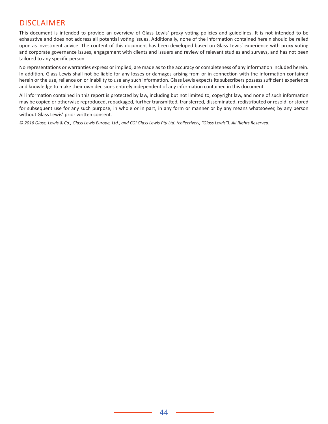# DISCLAIMER

This document is intended to provide an overview of Glass Lewis' proxy voting policies and guidelines. It is not intended to be exhaustive and does not address all potential voting issues. Additionally, none of the information contained herein should be relied upon as investment advice. The content of this document has been developed based on Glass Lewis' experience with proxy voting and corporate governance issues, engagement with clients and issuers and review of relevant studies and surveys, and has not been tailored to any specific person.

No representations or warranties express or implied, are made as to the accuracy or completeness of any information included herein. In addition, Glass Lewis shall not be liable for any losses or damages arising from or in connection with the information contained herein or the use, reliance on or inability to use any such information. Glass Lewis expects its subscribers possess sufficient experience and knowledge to make their own decisions entirely independent of any information contained in this document.

All information contained in this report is protected by law, including but not limited to, copyright law, and none of such information may be copied or otherwise reproduced, repackaged, further transmitted, transferred, disseminated, redistributed or resold, or stored for subsequent use for any such purpose, in whole or in part, in any form or manner or by any means whatsoever, by any person without Glass Lewis' prior written consent.

*© 2016 Glass, Lewis & Co., Glass Lewis Europe, Ltd., and CGI Glass Lewis Pty Ltd. (collectively, "Glass Lewis"). All Rights Reserved.*